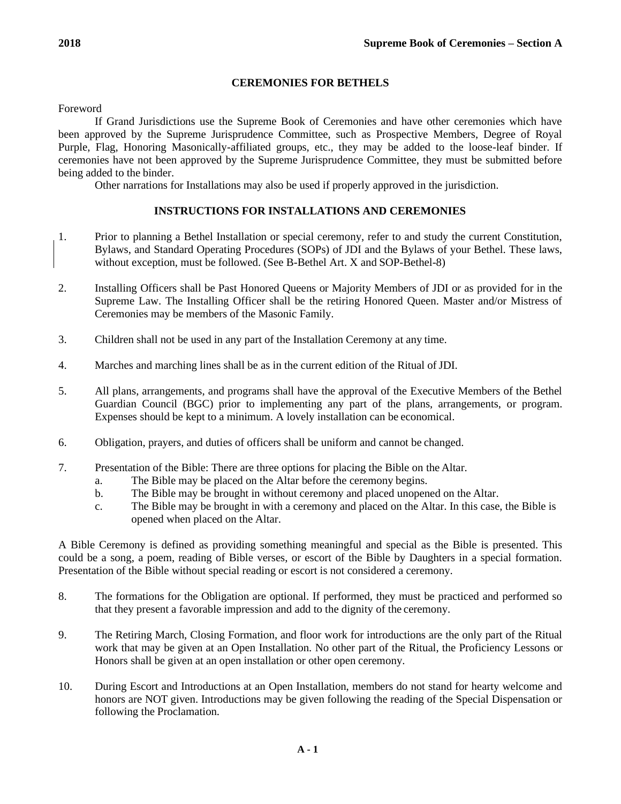# **CEREMONIES FOR BETHELS**

Foreword

If Grand Jurisdictions use the Supreme Book of Ceremonies and have other ceremonies which have been approved by the Supreme Jurisprudence Committee, such as Prospective Members, Degree of Royal Purple, Flag, Honoring Masonically-affiliated groups, etc., they may be added to the loose-leaf binder. If ceremonies have not been approved by the Supreme Jurisprudence Committee, they must be submitted before being added to the binder.

Other narrations for Installations may also be used if properly approved in the jurisdiction.

# **INSTRUCTIONS FOR INSTALLATIONS AND CEREMONIES**

- 1. Prior to planning a Bethel Installation or special ceremony, refer to and study the current Constitution, Bylaws, and Standard Operating Procedures (SOPs) of JDI and the Bylaws of your Bethel. These laws, without exception, must be followed. (See B-Bethel Art. X and SOP-Bethel-8)
- 2. Installing Officers shall be Past Honored Queens or Majority Members of JDI or as provided for in the Supreme Law. The Installing Officer shall be the retiring Honored Queen. Master and/or Mistress of Ceremonies may be members of the Masonic Family.
- 3. Children shall not be used in any part of the Installation Ceremony at any time.
- 4. Marches and marching lines shall be as in the current edition of the Ritual ofJDI.
- 5. All plans, arrangements, and programs shall have the approval of the Executive Members of the Bethel Guardian Council (BGC) prior to implementing any part of the plans, arrangements, or program. Expenses should be kept to a minimum. A lovely installation can be economical.
- 6. Obligation, prayers, and duties of officers shall be uniform and cannot be changed.
- 7. Presentation of the Bible: There are three options for placing the Bible on the Altar.
	- a. The Bible may be placed on the Altar before the ceremony begins.
	- b. The Bible may be brought in without ceremony and placed unopened on the Altar.
	- c. The Bible may be brought in with a ceremony and placed on the Altar. In this case, the Bible is opened when placed on the Altar.

A Bible Ceremony is defined as providing something meaningful and special as the Bible is presented. This could be a song, a poem, reading of Bible verses, or escort of the Bible by Daughters in a special formation. Presentation of the Bible without special reading or escort is not considered a ceremony.

- 8. The formations for the Obligation are optional. If performed, they must be practiced and performed so that they present a favorable impression and add to the dignity of the ceremony.
- 9. The Retiring March, Closing Formation, and floor work for introductions are the only part of the Ritual work that may be given at an Open Installation. No other part of the Ritual, the Proficiency Lessons or Honors shall be given at an open installation or other open ceremony.
- 10. During Escort and Introductions at an Open Installation, members do not stand for hearty welcome and honors are NOT given. Introductions may be given following the reading of the Special Dispensation or following the Proclamation.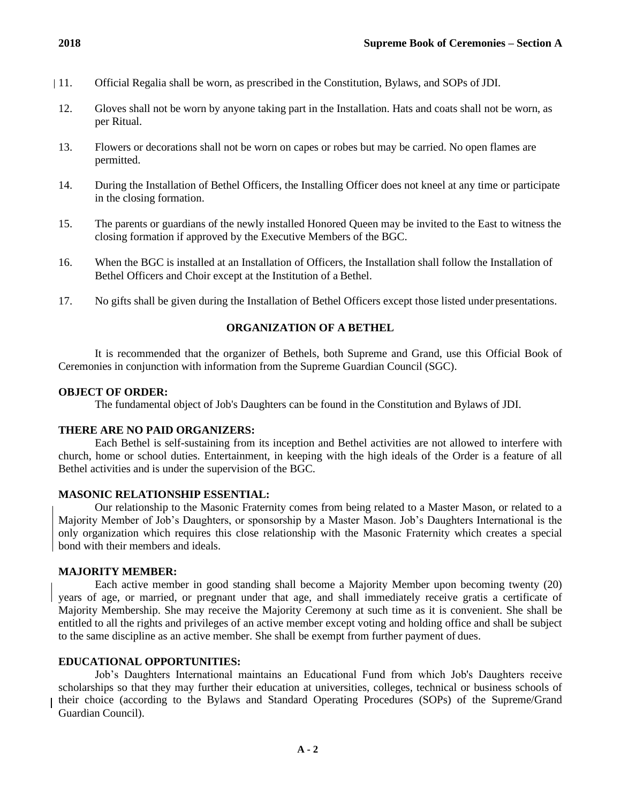- 11. Official Regalia shall be worn, as prescribed in the Constitution, Bylaws, and SOPs of JDI.
- 12. Gloves shall not be worn by anyone taking part in the Installation. Hats and coats shall not be worn, as per Ritual.
- 13. Flowers or decorations shall not be worn on capes or robes but may be carried. No open flames are permitted.
- 14. During the Installation of Bethel Officers, the Installing Officer does not kneel at any time or participate in the closing formation.
- 15. The parents or guardians of the newly installed Honored Queen may be invited to the East to witness the closing formation if approved by the Executive Members of the BGC.
- 16. When the BGC is installed at an Installation of Officers, the Installation shall follow the Installation of Bethel Officers and Choir except at the Institution of a Bethel.
- 17. No gifts shall be given during the Installation of Bethel Officers except those listed under presentations.

#### **ORGANIZATION OF A BETHEL**

It is recommended that the organizer of Bethels, both Supreme and Grand, use this Official Book of Ceremonies in conjunction with information from the Supreme Guardian Council (SGC).

#### **OBJECT OF ORDER:**

The fundamental object of Job's Daughters can be found in the Constitution and Bylaws of JDI.

## **THERE ARE NO PAID ORGANIZERS:**

Each Bethel is self-sustaining from its inception and Bethel activities are not allowed to interfere with church, home or school duties. Entertainment, in keeping with the high ideals of the Order is a feature of all Bethel activities and is under the supervision of the BGC.

### **MASONIC RELATIONSHIP ESSENTIAL:**

Our relationship to the Masonic Fraternity comes from being related to a Master Mason, or related to a Majority Member of Job's Daughters, or sponsorship by a Master Mason. Job's Daughters International is the only organization which requires this close relationship with the Masonic Fraternity which creates a special bond with their members and ideals.

# **MAJORITY MEMBER:**

Each active member in good standing shall become a Majority Member upon becoming twenty (20) years of age, or married, or pregnant under that age, and shall immediately receive gratis a certificate of Majority Membership. She may receive the Majority Ceremony at such time as it is convenient. She shall be entitled to all the rights and privileges of an active member except voting and holding office and shall be subject to the same discipline as an active member. She shall be exempt from further payment of dues.

## **EDUCATIONAL OPPORTUNITIES:**

Job's Daughters International maintains an Educational Fund from which Job's Daughters receive scholarships so that they may further their education at universities, colleges, technical or business schools of their choice (according to the Bylaws and Standard Operating Procedures (SOPs) of the Supreme/Grand Guardian Council).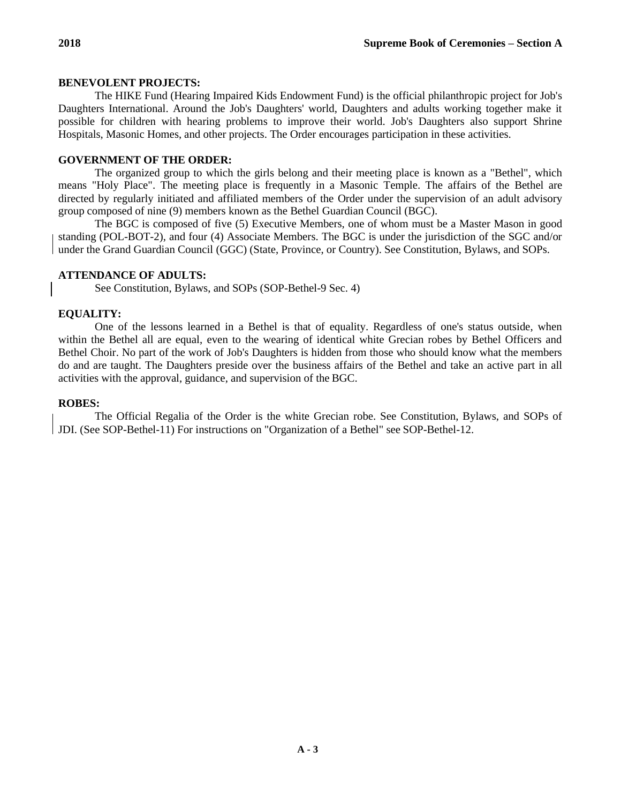# **BENEVOLENT PROJECTS:**

The HIKE Fund (Hearing Impaired Kids Endowment Fund) is the official philanthropic project for Job's Daughters International. Around the Job's Daughters' world, Daughters and adults working together make it possible for children with hearing problems to improve their world. Job's Daughters also support Shrine Hospitals, Masonic Homes, and other projects. The Order encourages participation in these activities.

# **GOVERNMENT OF THE ORDER:**

The organized group to which the girls belong and their meeting place is known as a "Bethel", which means "Holy Place". The meeting place is frequently in a Masonic Temple. The affairs of the Bethel are directed by regularly initiated and affiliated members of the Order under the supervision of an adult advisory group composed of nine (9) members known as the Bethel Guardian Council (BGC).

The BGC is composed of five (5) Executive Members, one of whom must be a Master Mason in good standing (POL-BOT-2), and four (4) Associate Members. The BGC is under the jurisdiction of the SGC and/or under the Grand Guardian Council (GGC) (State, Province, or Country). See Constitution, Bylaws, and SOPs.

# **ATTENDANCE OF ADULTS:**

See Constitution, Bylaws, and SOPs (SOP-Bethel-9 Sec. 4)

# **EQUALITY:**

One of the lessons learned in a Bethel is that of equality. Regardless of one's status outside, when within the Bethel all are equal, even to the wearing of identical white Grecian robes by Bethel Officers and Bethel Choir. No part of the work of Job's Daughters is hidden from those who should know what the members do and are taught. The Daughters preside over the business affairs of the Bethel and take an active part in all activities with the approval, guidance, and supervision of the BGC.

## **ROBES:**

The Official Regalia of the Order is the white Grecian robe. See Constitution, Bylaws, and SOPs of JDI. (See SOP-Bethel-11) For instructions on "Organization of a Bethel" see SOP-Bethel-12.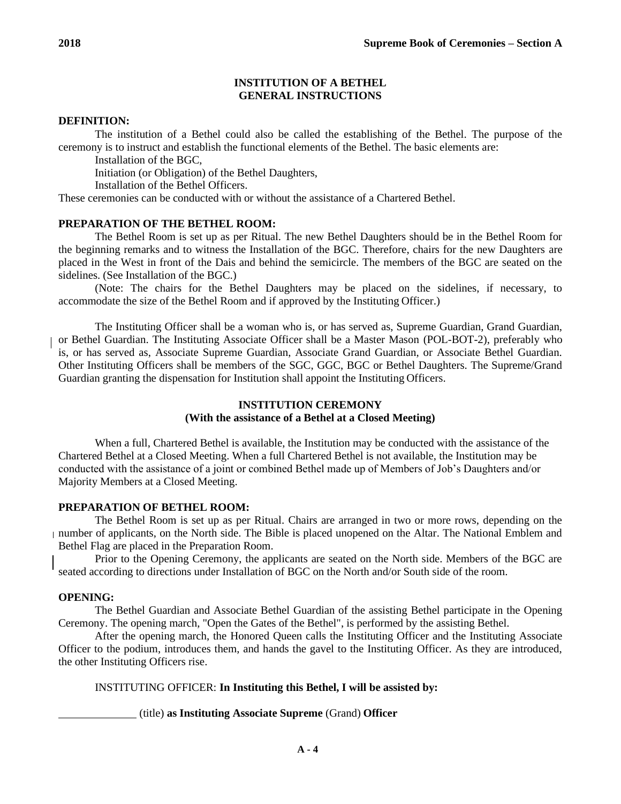# **INSTITUTION OF A BETHEL GENERAL INSTRUCTIONS**

## **DEFINITION:**

The institution of a Bethel could also be called the establishing of the Bethel. The purpose of the ceremony is to instruct and establish the functional elements of the Bethel. The basic elements are:

Installation of the BGC,

Initiation (or Obligation) of the Bethel Daughters,

Installation of the Bethel Officers.

These ceremonies can be conducted with or without the assistance of a Chartered Bethel.

## **PREPARATION OF THE BETHEL ROOM:**

The Bethel Room is set up as per Ritual. The new Bethel Daughters should be in the Bethel Room for the beginning remarks and to witness the Installation of the BGC. Therefore, chairs for the new Daughters are placed in the West in front of the Dais and behind the semicircle. The members of the BGC are seated on the sidelines. (See Installation of the BGC.)

(Note: The chairs for the Bethel Daughters may be placed on the sidelines, if necessary, to accommodate the size of the Bethel Room and if approved by the Instituting Officer.)

The Instituting Officer shall be a woman who is, or has served as, Supreme Guardian, Grand Guardian, or Bethel Guardian. The Instituting Associate Officer shall be a Master Mason (POL-BOT-2), preferably who is, or has served as, Associate Supreme Guardian, Associate Grand Guardian, or Associate Bethel Guardian. Other Instituting Officers shall be members of the SGC, GGC, BGC or Bethel Daughters. The Supreme/Grand Guardian granting the dispensation for Institution shall appoint the Instituting Officers.

# **INSTITUTION CEREMONY (With the assistance of a Bethel at a Closed Meeting)**

When a full, Chartered Bethel is available, the Institution may be conducted with the assistance of the Chartered Bethel at a Closed Meeting. When a full Chartered Bethel is not available, the Institution may be conducted with the assistance of a joint or combined Bethel made up of Members of Job's Daughters and/or Majority Members at a Closed Meeting.

#### **PREPARATION OF BETHEL ROOM:**

The Bethel Room is set up as per Ritual. Chairs are arranged in two or more rows, depending on the number of applicants, on the North side. The Bible is placed unopened on the Altar. The National Emblem and Bethel Flag are placed in the Preparation Room.

Prior to the Opening Ceremony, the applicants are seated on the North side. Members of the BGC are seated according to directions under Installation of BGC on the North and/or South side of the room.

## **OPENING:**

The Bethel Guardian and Associate Bethel Guardian of the assisting Bethel participate in the Opening Ceremony. The opening march, "Open the Gates of the Bethel", is performed by the assisting Bethel.

After the opening march, the Honored Queen calls the Instituting Officer and the Instituting Associate Officer to the podium, introduces them, and hands the gavel to the Instituting Officer. As they are introduced, the other Instituting Officers rise.

# INSTITUTING OFFICER: **In Instituting this Bethel, I will be assisted by:**

(title) **as Instituting Associate Supreme** (Grand) **Officer**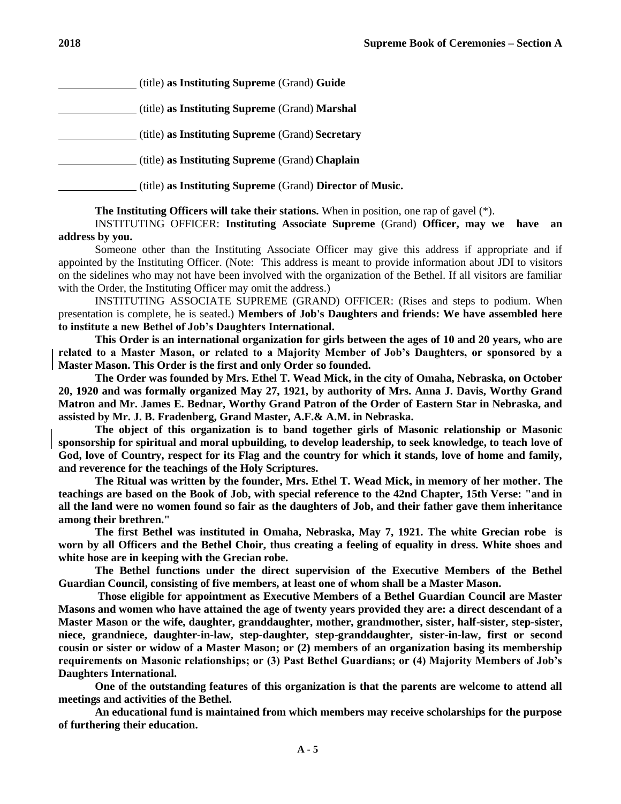(title) **as Instituting Supreme** (Grand) **Guide** (title) **as Instituting Supreme** (Grand) **Marshal** (title) **as Instituting Supreme** (Grand) **Secretary** (title) **as Instituting Supreme** (Grand) **Chaplain**

(title) **as Instituting Supreme** (Grand) **Director of Music.**

## **The Instituting Officers will take their stations.** When in position, one rap of gavel (\*).

INSTITUTING OFFICER: **Instituting Associate Supreme** (Grand) **Officer, may we have an address by you.**

Someone other than the Instituting Associate Officer may give this address if appropriate and if appointed by the Instituting Officer. (Note: This address is meant to provide information about JDI to visitors on the sidelines who may not have been involved with the organization of the Bethel. If all visitors are familiar with the Order, the Instituting Officer may omit the address.)

INSTITUTING ASSOCIATE SUPREME (GRAND) OFFICER: (Rises and steps to podium. When presentation is complete, he is seated.) **Members of Job's Daughters and friends: We have assembled here to institute a new Bethel of Job's Daughters International.**

**This Order is an international organization for girls between the ages of 10 and 20 years, who are related to a Master Mason, or related to a Majority Member of Job's Daughters, or sponsored by a Master Mason. This Order is the first and only Order so founded.**

**The Order was founded by Mrs. Ethel T. Wead Mick, in the city of Omaha, Nebraska, on October 20, 1920 and was formally organized May 27, 1921, by authority of Mrs. Anna J. Davis, Worthy Grand Matron and Mr. James E. Bednar, Worthy Grand Patron of the Order of Eastern Star in Nebraska, and assisted by Mr. J. B. Fradenberg, Grand Master, A.F.& A.M. in Nebraska.**

**The object of this organization is to band together girls of Masonic relationship or Masonic sponsorship for spiritual and moral upbuilding, to develop leadership, to seek knowledge, to teach love of God, love of Country, respect for its Flag and the country for which it stands, love of home and family, and reverence for the teachings of the Holy Scriptures.**

**The Ritual was written by the founder, Mrs. Ethel T. Wead Mick, in memory of her mother. The teachings are based on the Book of Job, with special reference to the 42nd Chapter, 15th Verse: "and in all the land were no women found so fair as the daughters of Job, and their father gave them inheritance among their brethren."**

**The first Bethel was instituted in Omaha, Nebraska, May 7, 1921. The white Grecian robe is worn by all Officers and the Bethel Choir, thus creating a feeling of equality in dress. White shoes and white hose are in keeping with the Grecian robe.**

**The Bethel functions under the direct supervision of the Executive Members of the Bethel Guardian Council, consisting of five members, at least one of whom shall be a Master Mason.**

**Those eligible for appointment as Executive Members of a Bethel Guardian Council are Master Masons and women who have attained the age of twenty years provided they are: a direct descendant of a Master Mason or the wife, daughter, granddaughter, mother, grandmother, sister, half-sister, step-sister, niece, grandniece, daughter-in-law, step-daughter, step-granddaughter, sister-in-law, first or second cousin or sister or widow of a Master Mason; or (2) members of an organization basing its membership requirements on Masonic relationships; or (3) Past Bethel Guardians; or (4) Majority Members of Job's Daughters International.**

**One of the outstanding features of this organization is that the parents are welcome to attend all meetings and activities of the Bethel.**

**An educational fund is maintained from which members may receive scholarships for the purpose of furthering their education.**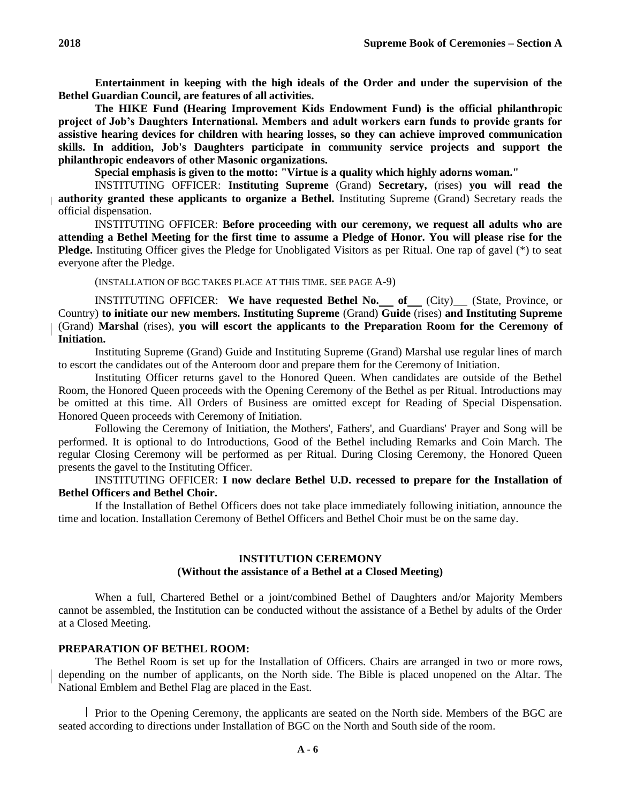**Entertainment in keeping with the high ideals of the Order and under the supervision of the Bethel Guardian Council, are features of all activities.**

**The HIKE Fund (Hearing Improvement Kids Endowment Fund) is the official philanthropic project of Job's Daughters International. Members and adult workers earn funds to provide grants for assistive hearing devices for children with hearing losses, so they can achieve improved communication skills. In addition, Job's Daughters participate in community service projects and support the philanthropic endeavors of other Masonic organizations.**

**Special emphasis is given to the motto: "Virtue is a quality which highly adorns woman."**

INSTITUTING OFFICER: **Instituting Supreme** (Grand) **Secretary,** (rises) **you will read the authority granted these applicants to organize a Bethel.** Instituting Supreme (Grand) Secretary reads the official dispensation.

INSTITUTING OFFICER: **Before proceeding with our ceremony, we request all adults who are attending a Bethel Meeting for the first time to assume a Pledge of Honor. You will please rise for the Pledge.** Instituting Officer gives the Pledge for Unobligated Visitors as per Ritual. One rap of gavel (\*) to seat everyone after the Pledge.

(INSTALLATION OF BGC TAKES PLACE AT THIS TIME. SEE PAGE A-9)

INSTITUTING OFFICER: We have requested Bethel No. of (City) (State, Province, or Country) **to initiate our new members. Instituting Supreme** (Grand) **Guide** (rises) **and Instituting Supreme**  (Grand) **Marshal** (rises), **you will escort the applicants to the Preparation Room for the Ceremony of Initiation.**

Instituting Supreme (Grand) Guide and Instituting Supreme (Grand) Marshal use regular lines of march to escort the candidates out of the Anteroom door and prepare them for the Ceremony of Initiation.

Instituting Officer returns gavel to the Honored Queen. When candidates are outside of the Bethel Room, the Honored Queen proceeds with the Opening Ceremony of the Bethel as per Ritual. Introductions may be omitted at this time. All Orders of Business are omitted except for Reading of Special Dispensation. Honored Queen proceeds with Ceremony of Initiation.

Following the Ceremony of Initiation, the Mothers', Fathers', and Guardians' Prayer and Song will be performed. It is optional to do Introductions, Good of the Bethel including Remarks and Coin March. The regular Closing Ceremony will be performed as per Ritual. During Closing Ceremony, the Honored Queen presents the gavel to the Instituting Officer.

# INSTITUTING OFFICER: **I now declare Bethel U.D. recessed to prepare for the Installation of Bethel Officers and Bethel Choir.**

If the Installation of Bethel Officers does not take place immediately following initiation, announce the time and location. Installation Ceremony of Bethel Officers and Bethel Choir must be on the same day.

# **INSTITUTION CEREMONY (Without the assistance of a Bethel at a Closed Meeting)**

When a full, Chartered Bethel or a joint/combined Bethel of Daughters and/or Majority Members cannot be assembled, the Institution can be conducted without the assistance of a Bethel by adults of the Order at a Closed Meeting.

## **PREPARATION OF BETHEL ROOM:**

The Bethel Room is set up for the Installation of Officers. Chairs are arranged in two or more rows, depending on the number of applicants, on the North side. The Bible is placed unopened on the Altar. The National Emblem and Bethel Flag are placed in the East.

Prior to the Opening Ceremony, the applicants are seated on the North side. Members of the BGC are seated according to directions under Installation of BGC on the North and South side of the room.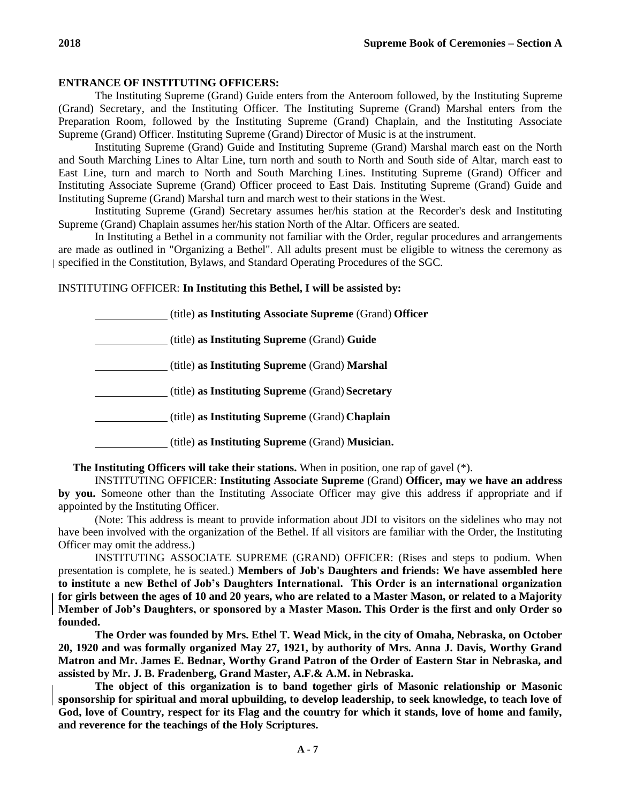#### **ENTRANCE OF INSTITUTING OFFICERS:**

The Instituting Supreme (Grand) Guide enters from the Anteroom followed, by the Instituting Supreme (Grand) Secretary, and the Instituting Officer. The Instituting Supreme (Grand) Marshal enters from the Preparation Room, followed by the Instituting Supreme (Grand) Chaplain, and the Instituting Associate Supreme (Grand) Officer. Instituting Supreme (Grand) Director of Music is at the instrument.

Instituting Supreme (Grand) Guide and Instituting Supreme (Grand) Marshal march east on the North and South Marching Lines to Altar Line, turn north and south to North and South side of Altar, march east to East Line, turn and march to North and South Marching Lines. Instituting Supreme (Grand) Officer and Instituting Associate Supreme (Grand) Officer proceed to East Dais. Instituting Supreme (Grand) Guide and Instituting Supreme (Grand) Marshal turn and march west to their stations in the West.

Instituting Supreme (Grand) Secretary assumes her/his station at the Recorder's desk and Instituting Supreme (Grand) Chaplain assumes her/his station North of the Altar. Officers are seated.

In Instituting a Bethel in a community not familiar with the Order, regular procedures and arrangements are made as outlined in "Organizing a Bethel". All adults present must be eligible to witness the ceremony as specified in the Constitution, Bylaws, and Standard Operating Procedures of the SGC.

# INSTITUTING OFFICER: **In Instituting this Bethel, I will be assisted by:**

(title) **as Instituting Associate Supreme** (Grand) **Officer**

(title) **as Instituting Supreme** (Grand) **Guide**

(title) **as Instituting Supreme** (Grand) **Marshal**

(title) **as Instituting Supreme** (Grand) **Secretary**

(title) **as Instituting Supreme** (Grand) **Chaplain**

(title) **as Instituting Supreme** (Grand) **Musician.**

**The Instituting Officers will take their stations.** When in position, one rap of gavel (\*).

INSTITUTING OFFICER: **Instituting Associate Supreme** (Grand) **Officer, may we have an address by you.** Someone other than the Instituting Associate Officer may give this address if appropriate and if appointed by the Instituting Officer.

(Note: This address is meant to provide information about JDI to visitors on the sidelines who may not have been involved with the organization of the Bethel. If all visitors are familiar with the Order, the Instituting Officer may omit the address.)

INSTITUTING ASSOCIATE SUPREME (GRAND) OFFICER: (Rises and steps to podium. When presentation is complete, he is seated.) **Members of Job's Daughters and friends: We have assembled here to institute a new Bethel of Job's Daughters International. This Order is an international organization for girls between the ages of 10 and 20 years, who are related to a Master Mason, or related to a Majority Member of Job's Daughters, or sponsored by a Master Mason. This Order is the first and only Order so founded.**

**The Order was founded by Mrs. Ethel T. Wead Mick, in the city of Omaha, Nebraska, on October 20, 1920 and was formally organized May 27, 1921, by authority of Mrs. Anna J. Davis, Worthy Grand Matron and Mr. James E. Bednar, Worthy Grand Patron of the Order of Eastern Star in Nebraska, and assisted by Mr. J. B. Fradenberg, Grand Master, A.F.& A.M. in Nebraska.**

**The object of this organization is to band together girls of Masonic relationship or Masonic sponsorship for spiritual and moral upbuilding, to develop leadership, to seek knowledge, to teach love of God, love of Country, respect for its Flag and the country for which it stands, love of home and family, and reverence for the teachings of the Holy Scriptures.**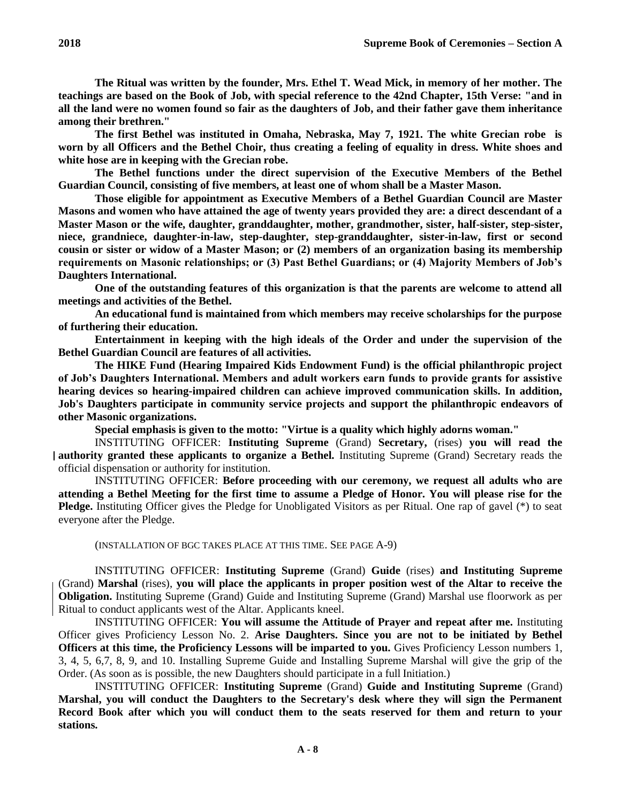**The Ritual was written by the founder, Mrs. Ethel T. Wead Mick, in memory of her mother. The teachings are based on the Book of Job, with special reference to the 42nd Chapter, 15th Verse: "and in all the land were no women found so fair as the daughters of Job, and their father gave them inheritance among their brethren."**

**The first Bethel was instituted in Omaha, Nebraska, May 7, 1921. The white Grecian robe is worn by all Officers and the Bethel Choir, thus creating a feeling of equality in dress. White shoes and white hose are in keeping with the Grecian robe.**

**The Bethel functions under the direct supervision of the Executive Members of the Bethel Guardian Council, consisting of five members, at least one of whom shall be a Master Mason.**

**Those eligible for appointment as Executive Members of a Bethel Guardian Council are Master Masons and women who have attained the age of twenty years provided they are: a direct descendant of a Master Mason or the wife, daughter, granddaughter, mother, grandmother, sister, half-sister, step-sister, niece, grandniece, daughter-in-law, step-daughter, step-granddaughter, sister-in-law, first or second cousin or sister or widow of a Master Mason; or (2) members of an organization basing its membership requirements on Masonic relationships; or (3) Past Bethel Guardians; or (4) Majority Members of Job's Daughters International.**

**One of the outstanding features of this organization is that the parents are welcome to attend all meetings and activities of the Bethel.**

**An educational fund is maintained from which members may receive scholarships for the purpose of furthering their education.**

**Entertainment in keeping with the high ideals of the Order and under the supervision of the Bethel Guardian Council are features of all activities.**

**The HIKE Fund (Hearing Impaired Kids Endowment Fund) is the official philanthropic project of Job's Daughters International. Members and adult workers earn funds to provide grants for assistive hearing devices so hearing-impaired children can achieve improved communication skills. In addition, Job's Daughters participate in community service projects and support the philanthropic endeavors of other Masonic organizations.**

**Special emphasis is given to the motto: "Virtue is a quality which highly adorns woman."**

INSTITUTING OFFICER: **Instituting Supreme** (Grand) **Secretary,** (rises) **you will read the authority granted these applicants to organize a Bethel.** Instituting Supreme (Grand) Secretary reads the official dispensation or authority for institution.

INSTITUTING OFFICER: **Before proceeding with our ceremony, we request all adults who are attending a Bethel Meeting for the first time to assume a Pledge of Honor. You will please rise for the Pledge.** Instituting Officer gives the Pledge for Unobligated Visitors as per Ritual. One rap of gavel (\*) to seat everyone after the Pledge.

(INSTALLATION OF BGC TAKES PLACE AT THIS TIME. SEE PAGE A-9)

INSTITUTING OFFICER: **Instituting Supreme** (Grand) **Guide** (rises) **and Instituting Supreme**  (Grand) **Marshal** (rises), **you will place the applicants in proper position west of the Altar to receive the Obligation.** Instituting Supreme (Grand) Guide and Instituting Supreme (Grand) Marshal use floorwork as per Ritual to conduct applicants west of the Altar. Applicants kneel.

INSTITUTING OFFICER: **You will assume the Attitude of Prayer and repeat after me.** Instituting Officer gives Proficiency Lesson No. 2. **Arise Daughters. Since you are not to be initiated by Bethel Officers at this time, the Proficiency Lessons will be imparted to you.** Gives Proficiency Lesson numbers 1, 3, 4, 5, 6,7, 8, 9, and 10. Installing Supreme Guide and Installing Supreme Marshal will give the grip of the Order. (As soon as is possible, the new Daughters should participate in a full Initiation.)

INSTITUTING OFFICER: **Instituting Supreme** (Grand) **Guide and Instituting Supreme** (Grand) **Marshal, you will conduct the Daughters to the Secretary's desk where they will sign the Permanent Record Book after which you will conduct them to the seats reserved for them and return to your stations.**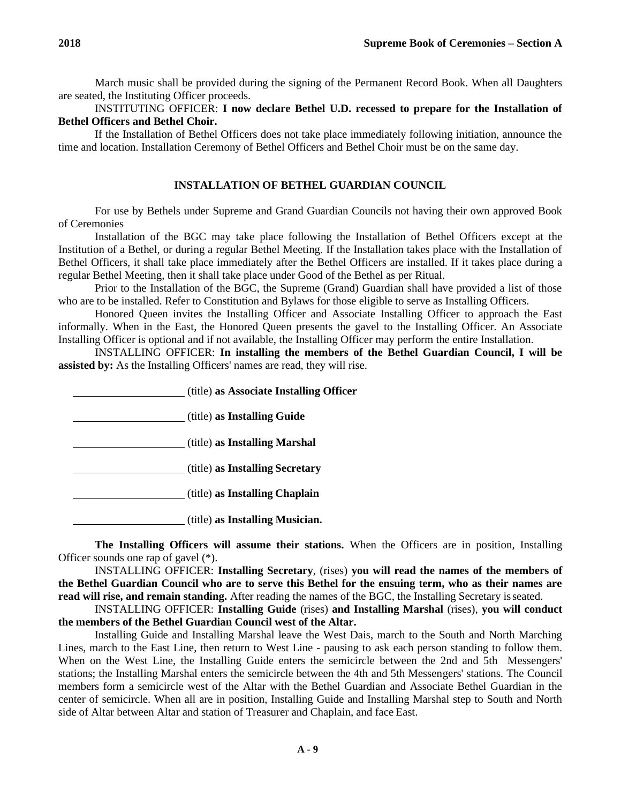March music shall be provided during the signing of the Permanent Record Book. When all Daughters are seated, the Instituting Officer proceeds.

# INSTITUTING OFFICER: **I now declare Bethel U.D. recessed to prepare for the Installation of Bethel Officers and Bethel Choir.**

If the Installation of Bethel Officers does not take place immediately following initiation, announce the time and location. Installation Ceremony of Bethel Officers and Bethel Choir must be on the same day.

## **INSTALLATION OF BETHEL GUARDIAN COUNCIL**

For use by Bethels under Supreme and Grand Guardian Councils not having their own approved Book of Ceremonies

Installation of the BGC may take place following the Installation of Bethel Officers except at the Institution of a Bethel, or during a regular Bethel Meeting. If the Installation takes place with the Installation of Bethel Officers, it shall take place immediately after the Bethel Officers are installed. If it takes place during a regular Bethel Meeting, then it shall take place under Good of the Bethel as per Ritual.

Prior to the Installation of the BGC, the Supreme (Grand) Guardian shall have provided a list of those who are to be installed. Refer to Constitution and Bylaws for those eligible to serve as Installing Officers.

Honored Queen invites the Installing Officer and Associate Installing Officer to approach the East informally. When in the East, the Honored Queen presents the gavel to the Installing Officer. An Associate Installing Officer is optional and if not available, the Installing Officer may perform the entire Installation.

INSTALLING OFFICER: **In installing the members of the Bethel Guardian Council, I will be assisted by:** As the Installing Officers' names are read, they will rise.

(title) **as Associate Installing Officer**

(title) **as Installing Guide**

(title) **as Installing Marshal**

(title) **as Installing Secretary**

(title) **as Installing Chaplain**

(title) **as Installing Musician.**

**The Installing Officers will assume their stations.** When the Officers are in position, Installing Officer sounds one rap of gavel (\*).

INSTALLING OFFICER: **Installing Secretary**, (rises) **you will read the names of the members of the Bethel Guardian Council who are to serve this Bethel for the ensuing term, who as their names are read will rise, and remain standing.** After reading the names of the BGC, the Installing Secretary isseated.

INSTALLING OFFICER: **Installing Guide** (rises) **and Installing Marshal** (rises), **you will conduct the members of the Bethel Guardian Council west of the Altar.**

Installing Guide and Installing Marshal leave the West Dais, march to the South and North Marching Lines, march to the East Line, then return to West Line - pausing to ask each person standing to follow them. When on the West Line, the Installing Guide enters the semicircle between the 2nd and 5th Messengers' stations; the Installing Marshal enters the semicircle between the 4th and 5th Messengers' stations. The Council members form a semicircle west of the Altar with the Bethel Guardian and Associate Bethel Guardian in the center of semicircle. When all are in position, Installing Guide and Installing Marshal step to South and North side of Altar between Altar and station of Treasurer and Chaplain, and face East.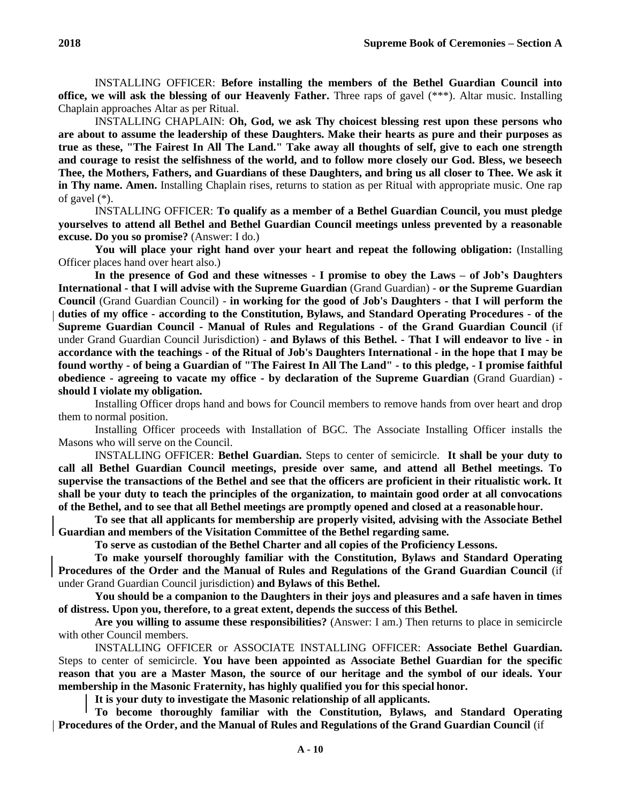INSTALLING OFFICER: **Before installing the members of the Bethel Guardian Council into office, we will ask the blessing of our Heavenly Father.** Three raps of gavel (\*\*\*). Altar music. Installing Chaplain approaches Altar as per Ritual.

INSTALLING CHAPLAIN: **Oh, God, we ask Thy choicest blessing rest upon these persons who are about to assume the leadership of these Daughters. Make their hearts as pure and their purposes as true as these, "The Fairest In All The Land." Take away all thoughts of self, give to each one strength and courage to resist the selfishness of the world, and to follow more closely our God. Bless, we beseech Thee, the Mothers, Fathers, and Guardians of these Daughters, and bring us all closer to Thee. We ask it in Thy name. Amen.** Installing Chaplain rises, returns to station as per Ritual with appropriate music. One rap of gavel (\*).

INSTALLING OFFICER: **To qualify as a member of a Bethel Guardian Council, you must pledge yourselves to attend all Bethel and Bethel Guardian Council meetings unless prevented by a reasonable excuse. Do you so promise?** (Answer: I do.)

**You will place your right hand over your heart and repeat the following obligation:** (Installing Officer places hand over heart also.)

**In the presence of God and these witnesses - I promise to obey the Laws – of Job's Daughters International - that I will advise with the Supreme Guardian** (Grand Guardian) - **or the Supreme Guardian Council** (Grand Guardian Council) - **in working for the good of Job's Daughters - that I will perform the duties of my office - according to the Constitution, Bylaws, and Standard Operating Procedures - of the Supreme Guardian Council - Manual of Rules and Regulations - of the Grand Guardian Council** (if under Grand Guardian Council Jurisdiction) - **and Bylaws of this Bethel. - That I will endeavor to live - in accordance with the teachings - of the Ritual of Job's Daughters International - in the hope that I may be found worthy - of being a Guardian of "The Fairest In All The Land" - to this pledge, - I promise faithful obedience - agreeing to vacate my office - by declaration of the Supreme Guardian** (Grand Guardian) **should I violate my obligation.**

Installing Officer drops hand and bows for Council members to remove hands from over heart and drop them to normal position.

Installing Officer proceeds with Installation of BGC. The Associate Installing Officer installs the Masons who will serve on the Council.

INSTALLING OFFICER: **Bethel Guardian.** Steps to center of semicircle. **It shall be your duty to call all Bethel Guardian Council meetings, preside over same, and attend all Bethel meetings. To supervise the transactions of the Bethel and see that the officers are proficient in their ritualistic work. It shall be your duty to teach the principles of the organization, to maintain good order at all convocations of the Bethel, and to see that all Bethel meetings are promptly opened and closed at a reasonablehour.**

**To see that all applicants for membership are properly visited, advising with the Associate Bethel Guardian and members of the Visitation Committee of the Bethel regarding same.**

**To serve as custodian of the Bethel Charter and all copies of the Proficiency Lessons.**

**To make yourself thoroughly familiar with the Constitution, Bylaws and Standard Operating Procedures of the Order and the Manual of Rules and Regulations of the Grand Guardian Council** (if under Grand Guardian Council jurisdiction) **and Bylaws of this Bethel.**

**You should be a companion to the Daughters in their joys and pleasures and a safe haven in times of distress. Upon you, therefore, to a great extent, depends the success of this Bethel.**

**Are you willing to assume these responsibilities?** (Answer: I am.) Then returns to place in semicircle with other Council members.

INSTALLING OFFICER or ASSOCIATE INSTALLING OFFICER: **Associate Bethel Guardian.**  Steps to center of semicircle. **You have been appointed as Associate Bethel Guardian for the specific reason that you are a Master Mason, the source of our heritage and the symbol of our ideals. Your membership in the Masonic Fraternity, has highly qualified you for this special honor.**

**It is your duty to investigate the Masonic relationship of all applicants.**

**To become thoroughly familiar with the Constitution, Bylaws, and Standard Operating Procedures of the Order, and the Manual of Rules and Regulations of the Grand Guardian Council** (if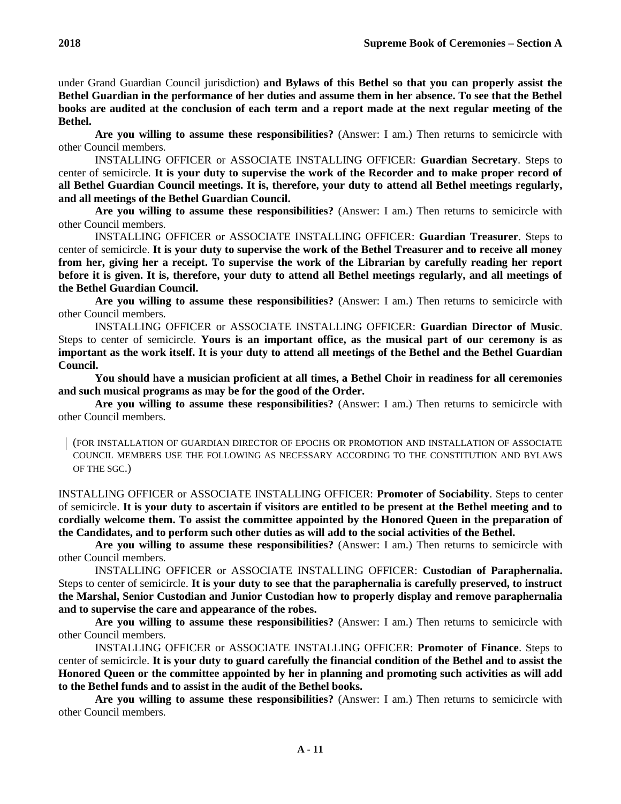under Grand Guardian Council jurisdiction) **and Bylaws of this Bethel so that you can properly assist the Bethel Guardian in the performance of her duties and assume them in her absence. To see that the Bethel books are audited at the conclusion of each term and a report made at the next regular meeting of the Bethel.**

**Are you willing to assume these responsibilities?** (Answer: I am.) Then returns to semicircle with other Council members.

INSTALLING OFFICER or ASSOCIATE INSTALLING OFFICER: **Guardian Secretary**. Steps to center of semicircle. **It is your duty to supervise the work of the Recorder and to make proper record of all Bethel Guardian Council meetings. It is, therefore, your duty to attend all Bethel meetings regularly, and all meetings of the Bethel Guardian Council.**

**Are you willing to assume these responsibilities?** (Answer: I am.) Then returns to semicircle with other Council members.

INSTALLING OFFICER or ASSOCIATE INSTALLING OFFICER: **Guardian Treasurer**. Steps to center of semicircle. **It is your duty to supervise the work of the Bethel Treasurer and to receive all money from her, giving her a receipt. To supervise the work of the Librarian by carefully reading her report before it is given. It is, therefore, your duty to attend all Bethel meetings regularly, and all meetings of the Bethel Guardian Council.**

**Are you willing to assume these responsibilities?** (Answer: I am.) Then returns to semicircle with other Council members.

INSTALLING OFFICER or ASSOCIATE INSTALLING OFFICER: **Guardian Director of Music**. Steps to center of semicircle. **Yours is an important office, as the musical part of our ceremony is as important as the work itself. It is your duty to attend all meetings of the Bethel and the Bethel Guardian Council.**

**You should have a musician proficient at all times, a Bethel Choir in readiness for all ceremonies and such musical programs as may be for the good of the Order.**

**Are you willing to assume these responsibilities?** (Answer: I am.) Then returns to semicircle with other Council members.

(FOR INSTALLATION OF GUARDIAN DIRECTOR OF EPOCHS OR PROMOTION AND INSTALLATION OF ASSOCIATE COUNCIL MEMBERS USE THE FOLLOWING AS NECESSARY ACCORDING TO THE CONSTITUTION AND BYLAWS OF THE SGC.)

INSTALLING OFFICER or ASSOCIATE INSTALLING OFFICER: **Promoter of Sociability**. Steps to center of semicircle. **It is your duty to ascertain if visitors are entitled to be present at the Bethel meeting and to cordially welcome them. To assist the committee appointed by the Honored Queen in the preparation of the Candidates, and to perform such other duties as will add to the social activities of the Bethel.**

**Are you willing to assume these responsibilities?** (Answer: I am.) Then returns to semicircle with other Council members.

INSTALLING OFFICER or ASSOCIATE INSTALLING OFFICER: **Custodian of Paraphernalia.**  Steps to center of semicircle. **It is your duty to see that the paraphernalia is carefully preserved, to instruct the Marshal, Senior Custodian and Junior Custodian how to properly display and remove paraphernalia and to supervise the care and appearance of the robes.**

**Are you willing to assume these responsibilities?** (Answer: I am.) Then returns to semicircle with other Council members.

INSTALLING OFFICER or ASSOCIATE INSTALLING OFFICER: **Promoter of Finance**. Steps to center of semicircle. **It is your duty to guard carefully the financial condition of the Bethel and to assist the Honored Queen or the committee appointed by her in planning and promoting such activities as will add to the Bethel funds and to assist in the audit of the Bethel books.**

**Are you willing to assume these responsibilities?** (Answer: I am.) Then returns to semicircle with other Council members.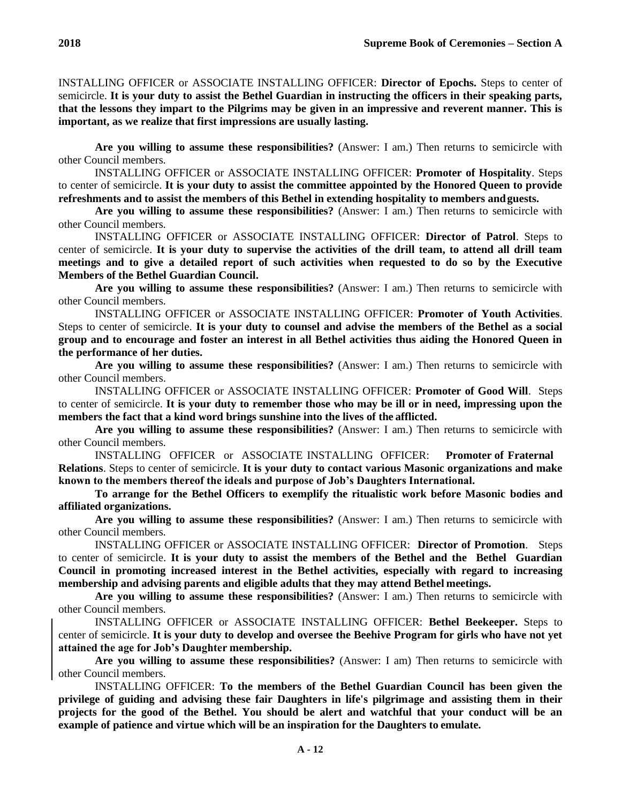INSTALLING OFFICER or ASSOCIATE INSTALLING OFFICER: **Director of Epochs.** Steps to center of semicircle. **It is your duty to assist the Bethel Guardian in instructing the officers in their speaking parts, that the lessons they impart to the Pilgrims may be given in an impressive and reverent manner. This is important, as we realize that first impressions are usually lasting.**

**Are you willing to assume these responsibilities?** (Answer: I am.) Then returns to semicircle with other Council members.

INSTALLING OFFICER or ASSOCIATE INSTALLING OFFICER: **Promoter of Hospitality**. Steps to center of semicircle. **It is your duty to assist the committee appointed by the Honored Queen to provide refreshments and to assist the members of this Bethel in extending hospitality to members andguests.**

**Are you willing to assume these responsibilities?** (Answer: I am.) Then returns to semicircle with other Council members.

INSTALLING OFFICER or ASSOCIATE INSTALLING OFFICER: **Director of Patrol**. Steps to center of semicircle. **It is your duty to supervise the activities of the drill team, to attend all drill team meetings and to give a detailed report of such activities when requested to do so by the Executive Members of the Bethel Guardian Council.**

**Are you willing to assume these responsibilities?** (Answer: I am.) Then returns to semicircle with other Council members.

INSTALLING OFFICER or ASSOCIATE INSTALLING OFFICER: **Promoter of Youth Activities**. Steps to center of semicircle. **It is your duty to counsel and advise the members of the Bethel as a social group and to encourage and foster an interest in all Bethel activities thus aiding the Honored Queen in the performance of her duties.**

**Are you willing to assume these responsibilities?** (Answer: I am.) Then returns to semicircle with other Council members.

INSTALLING OFFICER or ASSOCIATE INSTALLING OFFICER: **Promoter of Good Will**. Steps to center of semicircle. **It is your duty to remember those who may be ill or in need, impressing upon the members the fact that a kind word brings sunshine into the lives of the afflicted.**

**Are you willing to assume these responsibilities?** (Answer: I am.) Then returns to semicircle with other Council members.

INSTALLING OFFICER or ASSOCIATE INSTALLING OFFICER: **Promoter of Fraternal Relations**. Steps to center of semicircle. **It is your duty to contact various Masonic organizations and make known to the members thereof the ideals and purpose of Job's Daughters International.**

**To arrange for the Bethel Officers to exemplify the ritualistic work before Masonic bodies and affiliated organizations.**

**Are you willing to assume these responsibilities?** (Answer: I am.) Then returns to semicircle with other Council members.

INSTALLING OFFICER or ASSOCIATE INSTALLING OFFICER: **Director of Promotion**. Steps to center of semicircle. **It is your duty to assist the members of the Bethel and the Bethel Guardian Council in promoting increased interest in the Bethel activities, especially with regard to increasing membership and advising parents and eligible adults that they may attend Bethel meetings.**

**Are you willing to assume these responsibilities?** (Answer: I am.) Then returns to semicircle with other Council members.

INSTALLING OFFICER or ASSOCIATE INSTALLING OFFICER: **Bethel Beekeeper.** Steps to center of semicircle. **It is your duty to develop and oversee the Beehive Program for girls who have not yet attained the age for Job's Daughter membership.**

**Are you willing to assume these responsibilities?** (Answer: I am) Then returns to semicircle with other Council members.

INSTALLING OFFICER: **To the members of the Bethel Guardian Council has been given the privilege of guiding and advising these fair Daughters in life's pilgrimage and assisting them in their projects for the good of the Bethel. You should be alert and watchful that your conduct will be an example of patience and virtue which will be an inspiration for the Daughters to emulate.**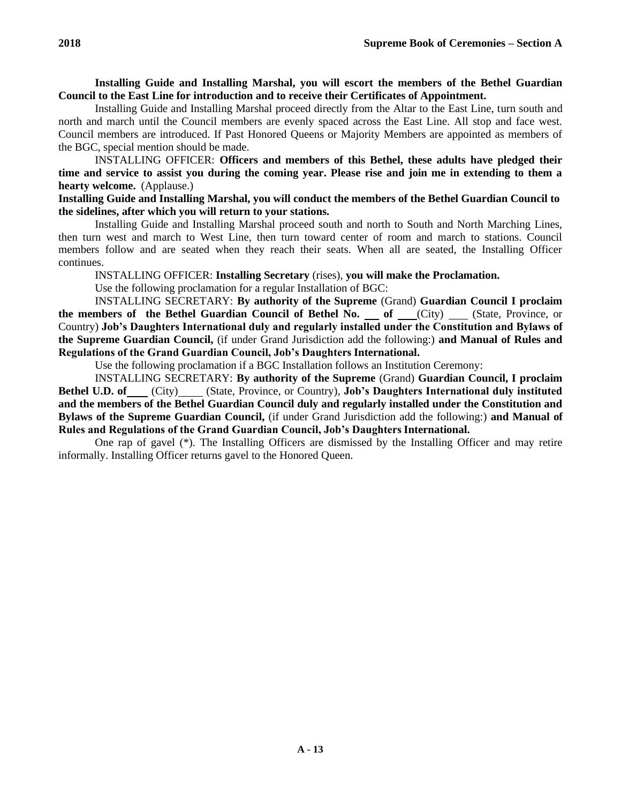**Installing Guide and Installing Marshal, you will escort the members of the Bethel Guardian Council to the East Line for introduction and to receive their Certificates of Appointment.**

Installing Guide and Installing Marshal proceed directly from the Altar to the East Line, turn south and north and march until the Council members are evenly spaced across the East Line. All stop and face west. Council members are introduced. If Past Honored Queens or Majority Members are appointed as members of the BGC, special mention should be made.

INSTALLING OFFICER: **Officers and members of this Bethel, these adults have pledged their time and service to assist you during the coming year. Please rise and join me in extending to them a hearty welcome.** (Applause.)

# **Installing Guide and Installing Marshal, you will conduct the members of the Bethel Guardian Council to the sidelines, after which you will return to your stations.**

Installing Guide and Installing Marshal proceed south and north to South and North Marching Lines, then turn west and march to West Line, then turn toward center of room and march to stations. Council members follow and are seated when they reach their seats. When all are seated, the Installing Officer continues.

INSTALLING OFFICER: **Installing Secretary** (rises), **you will make the Proclamation.**

Use the following proclamation for a regular Installation of BGC:

INSTALLING SECRETARY: **By authority of the Supreme** (Grand) **Guardian Council I proclaim the members of the Bethel Guardian Council of Bethel No. of** (City) (State, Province, or Country) **Job's Daughters International duly and regularly installed under the Constitution and Bylaws of the Supreme Guardian Council,** (if under Grand Jurisdiction add the following:) **and Manual of Rules and Regulations of the Grand Guardian Council, Job's Daughters International.**

Use the following proclamation if a BGC Installation follows an Institution Ceremony:

INSTALLING SECRETARY: **By authority of the Supreme** (Grand) **Guardian Council, I proclaim Bethel U.D. of** (City) (State, Province, or Country), **Job's Daughters International duly instituted and the members of the Bethel Guardian Council duly and regularly installed under the Constitution and Bylaws of the Supreme Guardian Council,** (if under Grand Jurisdiction add the following:) **and Manual of Rules and Regulations of the Grand Guardian Council, Job's Daughters International.**

One rap of gavel (\*). The Installing Officers are dismissed by the Installing Officer and may retire informally. Installing Officer returns gavel to the Honored Queen.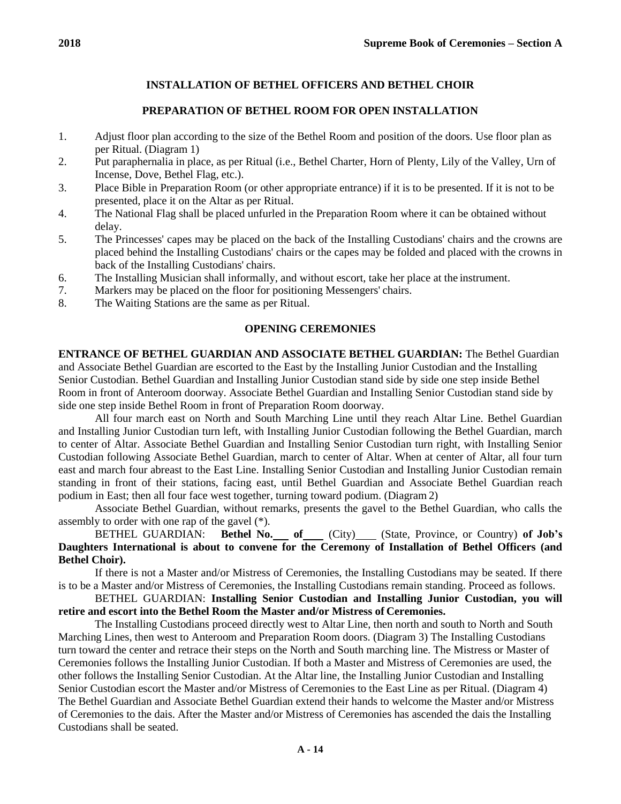# **PREPARATION OF BETHEL ROOM FOR OPEN INSTALLATION**

- 1. Adjust floor plan according to the size of the Bethel Room and position of the doors. Use floor plan as per Ritual. (Diagram 1)
- 2. Put paraphernalia in place, as per Ritual (i.e., Bethel Charter, Horn of Plenty, Lily of the Valley, Urn of Incense, Dove, Bethel Flag, etc.).
- 3. Place Bible in Preparation Room (or other appropriate entrance) if it is to be presented. If it is not to be presented, place it on the Altar as per Ritual.
- 4. The National Flag shall be placed unfurled in the Preparation Room where it can be obtained without delay.
- 5. The Princesses' capes may be placed on the back of the Installing Custodians' chairs and the crowns are placed behind the Installing Custodians' chairs or the capes may be folded and placed with the crowns in back of the Installing Custodians' chairs.
- 6. The Installing Musician shall informally, and without escort, take her place at the instrument.
- 7. Markers may be placed on the floor for positioning Messengers' chairs.
- 8. The Waiting Stations are the same as per Ritual.

# **OPENING CEREMONIES**

**ENTRANCE OF BETHEL GUARDIAN AND ASSOCIATE BETHEL GUARDIAN:** The Bethel Guardian and Associate Bethel Guardian are escorted to the East by the Installing Junior Custodian and the Installing Senior Custodian. Bethel Guardian and Installing Junior Custodian stand side by side one step inside Bethel Room in front of Anteroom doorway. Associate Bethel Guardian and Installing Senior Custodian stand side by side one step inside Bethel Room in front of Preparation Room doorway.

All four march east on North and South Marching Line until they reach Altar Line. Bethel Guardian and Installing Junior Custodian turn left, with Installing Junior Custodian following the Bethel Guardian, march to center of Altar. Associate Bethel Guardian and Installing Senior Custodian turn right, with Installing Senior Custodian following Associate Bethel Guardian, march to center of Altar. When at center of Altar, all four turn east and march four abreast to the East Line. Installing Senior Custodian and Installing Junior Custodian remain standing in front of their stations, facing east, until Bethel Guardian and Associate Bethel Guardian reach podium in East; then all four face west together, turning toward podium. (Diagram 2)

Associate Bethel Guardian, without remarks, presents the gavel to the Bethel Guardian, who calls the assembly to order with one rap of the gavel (\*).

# BETHEL GUARDIAN: **Bethel No. of** (City) (State, Province, or Country) **of Job's Daughters International is about to convene for the Ceremony of Installation of Bethel Officers (and Bethel Choir).**

If there is not a Master and/or Mistress of Ceremonies, the Installing Custodians may be seated. If there is to be a Master and/or Mistress of Ceremonies, the Installing Custodians remain standing. Proceed as follows.

# BETHEL GUARDIAN: **Installing Senior Custodian and Installing Junior Custodian, you will retire and escort into the Bethel Room the Master and/or Mistress of Ceremonies.**

The Installing Custodians proceed directly west to Altar Line, then north and south to North and South Marching Lines, then west to Anteroom and Preparation Room doors. (Diagram 3) The Installing Custodians turn toward the center and retrace their steps on the North and South marching line. The Mistress or Master of Ceremonies follows the Installing Junior Custodian. If both a Master and Mistress of Ceremonies are used, the other follows the Installing Senior Custodian. At the Altar line, the Installing Junior Custodian and Installing Senior Custodian escort the Master and/or Mistress of Ceremonies to the East Line as per Ritual. (Diagram 4) The Bethel Guardian and Associate Bethel Guardian extend their hands to welcome the Master and/or Mistress of Ceremonies to the dais. After the Master and/or Mistress of Ceremonies has ascended the dais the Installing Custodians shall be seated.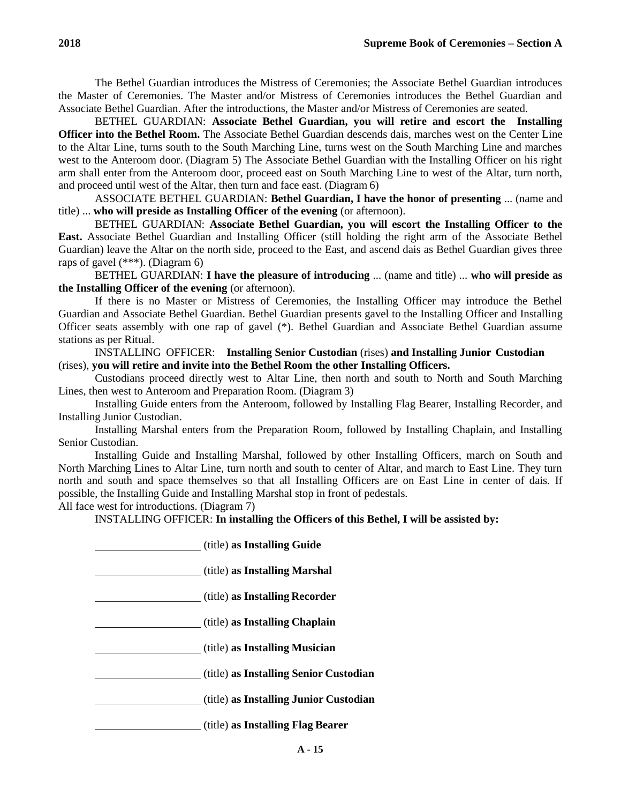The Bethel Guardian introduces the Mistress of Ceremonies; the Associate Bethel Guardian introduces the Master of Ceremonies. The Master and/or Mistress of Ceremonies introduces the Bethel Guardian and Associate Bethel Guardian. After the introductions, the Master and/or Mistress of Ceremonies are seated.

BETHEL GUARDIAN: **Associate Bethel Guardian, you will retire and escort the Installing Officer into the Bethel Room.** The Associate Bethel Guardian descends dais, marches west on the Center Line to the Altar Line, turns south to the South Marching Line, turns west on the South Marching Line and marches west to the Anteroom door. (Diagram 5) The Associate Bethel Guardian with the Installing Officer on his right arm shall enter from the Anteroom door, proceed east on South Marching Line to west of the Altar, turn north, and proceed until west of the Altar, then turn and face east. (Diagram 6)

ASSOCIATE BETHEL GUARDIAN: **Bethel Guardian, I have the honor of presenting** ... (name and title) ... **who will preside as Installing Officer of the evening** (or afternoon).

BETHEL GUARDIAN: **Associate Bethel Guardian, you will escort the Installing Officer to the East.** Associate Bethel Guardian and Installing Officer (still holding the right arm of the Associate Bethel Guardian) leave the Altar on the north side, proceed to the East, and ascend dais as Bethel Guardian gives three raps of gavel (\*\*\*). (Diagram 6)

BETHEL GUARDIAN: **I have the pleasure of introducing** ... (name and title) ... **who will preside as the Installing Officer of the evening** (or afternoon).

If there is no Master or Mistress of Ceremonies, the Installing Officer may introduce the Bethel Guardian and Associate Bethel Guardian. Bethel Guardian presents gavel to the Installing Officer and Installing Officer seats assembly with one rap of gavel (\*). Bethel Guardian and Associate Bethel Guardian assume stations as per Ritual.

INSTALLING OFFICER: **Installing Senior Custodian** (rises) **and Installing Junior Custodian** (rises), **you will retire and invite into the Bethel Room the other Installing Officers.**

Custodians proceed directly west to Altar Line, then north and south to North and South Marching Lines, then west to Anteroom and Preparation Room. (Diagram 3)

Installing Guide enters from the Anteroom, followed by Installing Flag Bearer, Installing Recorder, and Installing Junior Custodian.

Installing Marshal enters from the Preparation Room, followed by Installing Chaplain, and Installing Senior Custodian.

Installing Guide and Installing Marshal, followed by other Installing Officers, march on South and North Marching Lines to Altar Line, turn north and south to center of Altar, and march to East Line. They turn north and south and space themselves so that all Installing Officers are on East Line in center of dais. If possible, the Installing Guide and Installing Marshal stop in front of pedestals.

All face west for introductions. (Diagram 7)

INSTALLING OFFICER: **In installing the Officers of this Bethel, I will be assisted by:**

| (title) as Installing Guide            |
|----------------------------------------|
| (title) as Installing Marshal          |
| (title) as Installing Recorder         |
| (title) as Installing Chaplain         |
| (title) as Installing Musician         |
| (title) as Installing Senior Custodian |
| (title) as Installing Junior Custodian |
| (title) as Installing Flag Bearer      |
|                                        |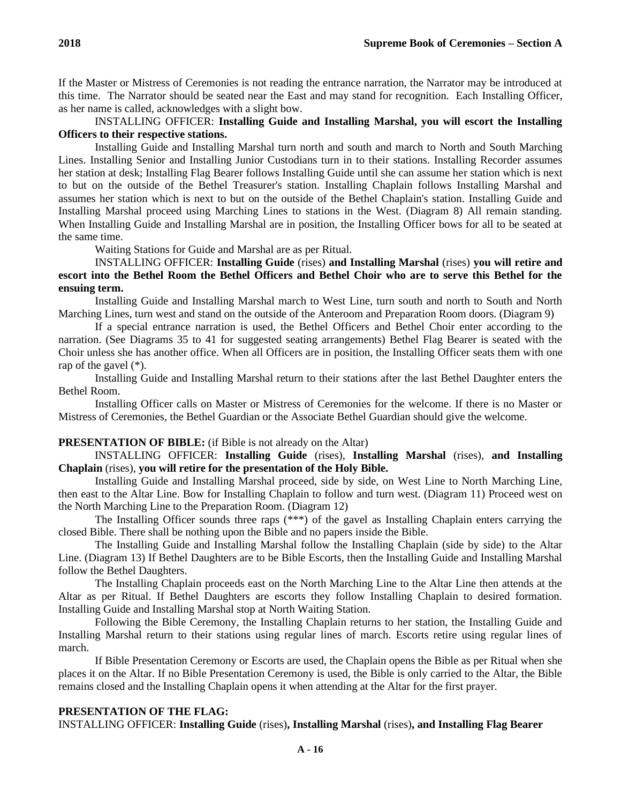If the Master or Mistress of Ceremonies is not reading the entrance narration, the Narrator may be introduced at this time. The Narrator should be seated near the East and may stand for recognition. Each Installing Officer, as her name is called, acknowledges with a slight bow.

# INSTALLING OFFICER: **Installing Guide and Installing Marshal, you will escort the Installing Officers to their respective stations.**

Installing Guide and Installing Marshal turn north and south and march to North and South Marching Lines. Installing Senior and Installing Junior Custodians turn in to their stations. Installing Recorder assumes her station at desk; Installing Flag Bearer follows Installing Guide until she can assume her station which is next to but on the outside of the Bethel Treasurer's station. Installing Chaplain follows Installing Marshal and assumes her station which is next to but on the outside of the Bethel Chaplain's station. Installing Guide and Installing Marshal proceed using Marching Lines to stations in the West. (Diagram 8) All remain standing. When Installing Guide and Installing Marshal are in position, the Installing Officer bows for all to be seated at the same time.

Waiting Stations for Guide and Marshal are as per Ritual.

# INSTALLING OFFICER: **Installing Guide** (rises) **and Installing Marshal** (rises) **you will retire and escort into the Bethel Room the Bethel Officers and Bethel Choir who are to serve this Bethel for the ensuing term.**

Installing Guide and Installing Marshal march to West Line, turn south and north to South and North Marching Lines, turn west and stand on the outside of the Anteroom and Preparation Room doors. (Diagram 9)

If a special entrance narration is used, the Bethel Officers and Bethel Choir enter according to the narration. (See Diagrams 35 to 41 for suggested seating arrangements) Bethel Flag Bearer is seated with the Choir unless she has another office. When all Officers are in position, the Installing Officer seats them with one rap of the gavel (\*).

Installing Guide and Installing Marshal return to their stations after the last Bethel Daughter enters the Bethel Room.

Installing Officer calls on Master or Mistress of Ceremonies for the welcome. If there is no Master or Mistress of Ceremonies, the Bethel Guardian or the Associate Bethel Guardian should give the welcome.

## **PRESENTATION OF BIBLE:** (if Bible is not already on the Altar)

INSTALLING OFFICER: **Installing Guide** (rises), **Installing Marshal** (rises), **and Installing Chaplain** (rises), **you will retire for the presentation of the Holy Bible.**

Installing Guide and Installing Marshal proceed, side by side, on West Line to North Marching Line, then east to the Altar Line. Bow for Installing Chaplain to follow and turn west. (Diagram 11) Proceed west on the North Marching Line to the Preparation Room. (Diagram 12)

The Installing Officer sounds three raps (\*\*\*) of the gavel as Installing Chaplain enters carrying the closed Bible. There shall be nothing upon the Bible and no papers inside the Bible.

The Installing Guide and Installing Marshal follow the Installing Chaplain (side by side) to the Altar Line. (Diagram 13) If Bethel Daughters are to be Bible Escorts, then the Installing Guide and Installing Marshal follow the Bethel Daughters.

The Installing Chaplain proceeds east on the North Marching Line to the Altar Line then attends at the Altar as per Ritual. If Bethel Daughters are escorts they follow Installing Chaplain to desired formation. Installing Guide and Installing Marshal stop at North Waiting Station.

Following the Bible Ceremony, the Installing Chaplain returns to her station, the Installing Guide and Installing Marshal return to their stations using regular lines of march. Escorts retire using regular lines of march.

If Bible Presentation Ceremony or Escorts are used, the Chaplain opens the Bible as per Ritual when she places it on the Altar. If no Bible Presentation Ceremony is used, the Bible is only carried to the Altar, the Bible remains closed and the Installing Chaplain opens it when attending at the Altar for the first prayer.

# **PRESENTATION OF THE FLAG:**

INSTALLING OFFICER: **Installing Guide** (rises)**, Installing Marshal** (rises)**, and Installing Flag Bearer**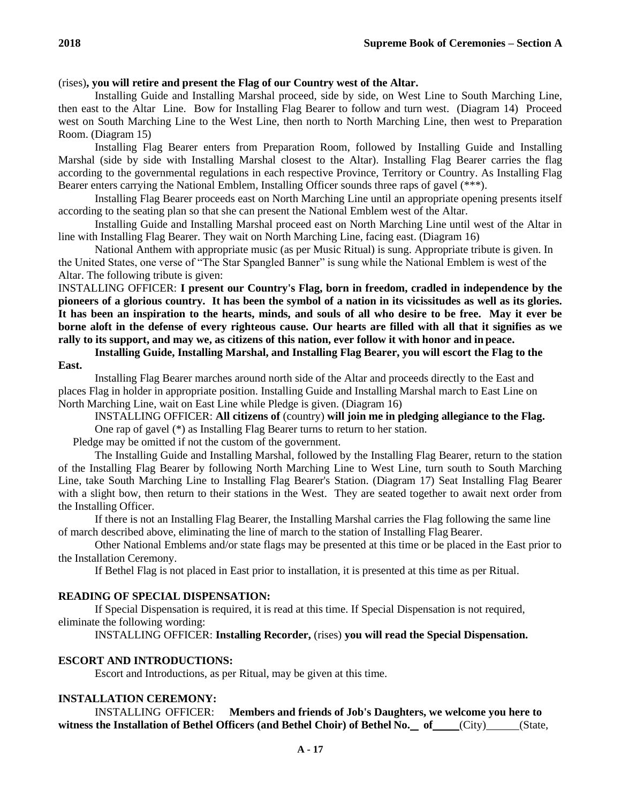## (rises)**, you will retire and present the Flag of our Country west of the Altar.**

Installing Guide and Installing Marshal proceed, side by side, on West Line to South Marching Line, then east to the Altar Line. Bow for Installing Flag Bearer to follow and turn west. (Diagram 14) Proceed west on South Marching Line to the West Line, then north to North Marching Line, then west to Preparation Room. (Diagram 15)

Installing Flag Bearer enters from Preparation Room, followed by Installing Guide and Installing Marshal (side by side with Installing Marshal closest to the Altar). Installing Flag Bearer carries the flag according to the governmental regulations in each respective Province, Territory or Country. As Installing Flag Bearer enters carrying the National Emblem, Installing Officer sounds three raps of gavel (\*\*\*).

Installing Flag Bearer proceeds east on North Marching Line until an appropriate opening presents itself according to the seating plan so that she can present the National Emblem west of the Altar.

Installing Guide and Installing Marshal proceed east on North Marching Line until west of the Altar in line with Installing Flag Bearer. They wait on North Marching Line, facing east. (Diagram 16)

National Anthem with appropriate music (as per Music Ritual) is sung. Appropriate tribute is given. In the United States, one verse of "The Star Spangled Banner" is sung while the National Emblem is west of the Altar. The following tribute is given:

INSTALLING OFFICER: **I present our Country's Flag, born in freedom, cradled in independence by the pioneers of a glorious country. It has been the symbol of a nation in its vicissitudes as well as its glories. It has been an inspiration to the hearts, minds, and souls of all who desire to be free. May it ever be borne aloft in the defense of every righteous cause. Our hearts are filled with all that it signifies as we rally to its support, and may we, as citizens of this nation, ever follow it with honor and in peace.**

**Installing Guide, Installing Marshal, and Installing Flag Bearer, you will escort the Flag to the East.**

Installing Flag Bearer marches around north side of the Altar and proceeds directly to the East and places Flag in holder in appropriate position. Installing Guide and Installing Marshal march to East Line on North Marching Line, wait on East Line while Pledge is given. (Diagram 16)

INSTALLING OFFICER: **All citizens of** (country) **will join me in pledging allegiance to the Flag.** One rap of gavel (\*) as Installing Flag Bearer turns to return to her station.

Pledge may be omitted if not the custom of the government.

The Installing Guide and Installing Marshal, followed by the Installing Flag Bearer, return to the station of the Installing Flag Bearer by following North Marching Line to West Line, turn south to South Marching Line, take South Marching Line to Installing Flag Bearer's Station. (Diagram 17) Seat Installing Flag Bearer with a slight bow, then return to their stations in the West. They are seated together to await next order from the Installing Officer.

If there is not an Installing Flag Bearer, the Installing Marshal carries the Flag following the same line of march described above, eliminating the line of march to the station of Installing Flag Bearer.

Other National Emblems and/or state flags may be presented at this time or be placed in the East prior to the Installation Ceremony.

If Bethel Flag is not placed in East prior to installation, it is presented at this time as per Ritual.

#### **READING OF SPECIAL DISPENSATION:**

If Special Dispensation is required, it is read at this time. If Special Dispensation is not required, eliminate the following wording:

INSTALLING OFFICER: **Installing Recorder,** (rises) **you will read the Special Dispensation.**

## **ESCORT AND INTRODUCTIONS:**

Escort and Introductions, as per Ritual, may be given at this time.

## **INSTALLATION CEREMONY:**

INSTALLING OFFICER: **Members and friends of Job's Daughters, we welcome you here to**  witness the Installation of Bethel Officers (and Bethel Choir) of Bethel No. of (City) (State,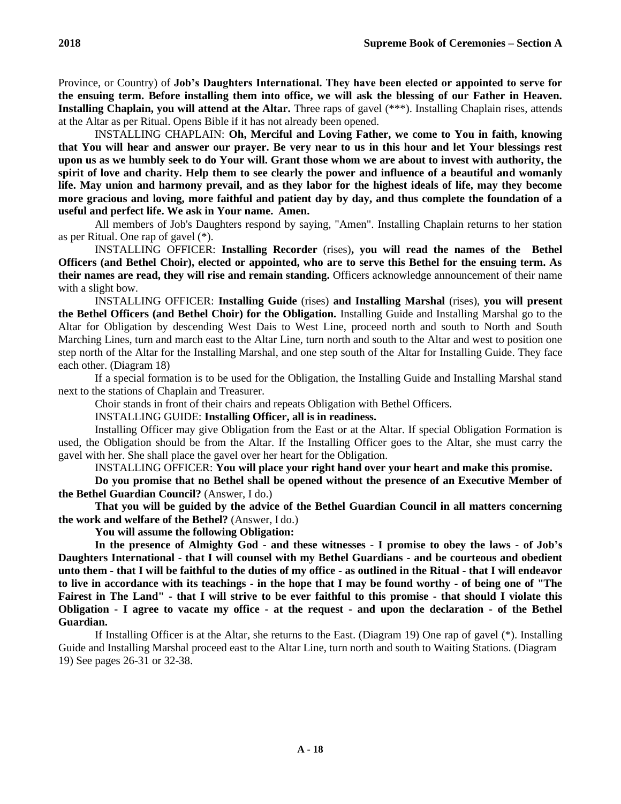Province, or Country) of **Job's Daughters International. They have been elected or appointed to serve for the ensuing term. Before installing them into office, we will ask the blessing of our Father in Heaven. Installing Chaplain, you will attend at the Altar.** Three raps of gavel (\*\*\*). Installing Chaplain rises, attends at the Altar as per Ritual. Opens Bible if it has not already been opened.

INSTALLING CHAPLAIN: **Oh, Merciful and Loving Father, we come to You in faith, knowing that You will hear and answer our prayer. Be very near to us in this hour and let Your blessings rest upon us as we humbly seek to do Your will. Grant those whom we are about to invest with authority, the spirit of love and charity. Help them to see clearly the power and influence of a beautiful and womanly life. May union and harmony prevail, and as they labor for the highest ideals of life, may they become more gracious and loving, more faithful and patient day by day, and thus complete the foundation of a useful and perfect life. We ask in Your name. Amen.**

All members of Job's Daughters respond by saying, "Amen". Installing Chaplain returns to her station as per Ritual. One rap of gavel (\*).

INSTALLING OFFICER: **Installing Recorder** (rises)**, you will read the names of the Bethel Officers (and Bethel Choir), elected or appointed, who are to serve this Bethel for the ensuing term. As their names are read, they will rise and remain standing.** Officers acknowledge announcement of their name with a slight bow.

INSTALLING OFFICER: **Installing Guide** (rises) **and Installing Marshal** (rises), **you will present the Bethel Officers (and Bethel Choir) for the Obligation.** Installing Guide and Installing Marshal go to the Altar for Obligation by descending West Dais to West Line, proceed north and south to North and South Marching Lines, turn and march east to the Altar Line, turn north and south to the Altar and west to position one step north of the Altar for the Installing Marshal, and one step south of the Altar for Installing Guide. They face each other. (Diagram 18)

If a special formation is to be used for the Obligation, the Installing Guide and Installing Marshal stand next to the stations of Chaplain and Treasurer.

Choir stands in front of their chairs and repeats Obligation with Bethel Officers.

INSTALLING GUIDE: **Installing Officer, all is in readiness.**

Installing Officer may give Obligation from the East or at the Altar. If special Obligation Formation is used, the Obligation should be from the Altar. If the Installing Officer goes to the Altar, she must carry the gavel with her. She shall place the gavel over her heart for the Obligation.

INSTALLING OFFICER: **You will place your right hand over your heart and make this promise.**

**Do you promise that no Bethel shall be opened without the presence of an Executive Member of the Bethel Guardian Council?** (Answer, I do.)

**That you will be guided by the advice of the Bethel Guardian Council in all matters concerning the work and welfare of the Bethel?** (Answer, I do.)

**You will assume the following Obligation:**

**In the presence of Almighty God - and these witnesses - I promise to obey the laws - of Job's Daughters International - that I will counsel with my Bethel Guardians - and be courteous and obedient unto them - that I will be faithful to the duties of my office - as outlined in the Ritual - that I will endeavor to live in accordance with its teachings - in the hope that I may be found worthy - of being one of "The Fairest in The Land" - that I will strive to be ever faithful to this promise - that should I violate this Obligation - I agree to vacate my office - at the request - and upon the declaration - of the Bethel Guardian.**

If Installing Officer is at the Altar, she returns to the East. (Diagram 19) One rap of gavel (\*). Installing Guide and Installing Marshal proceed east to the Altar Line, turn north and south to Waiting Stations. (Diagram 19) See pages 26-31 or 32-38.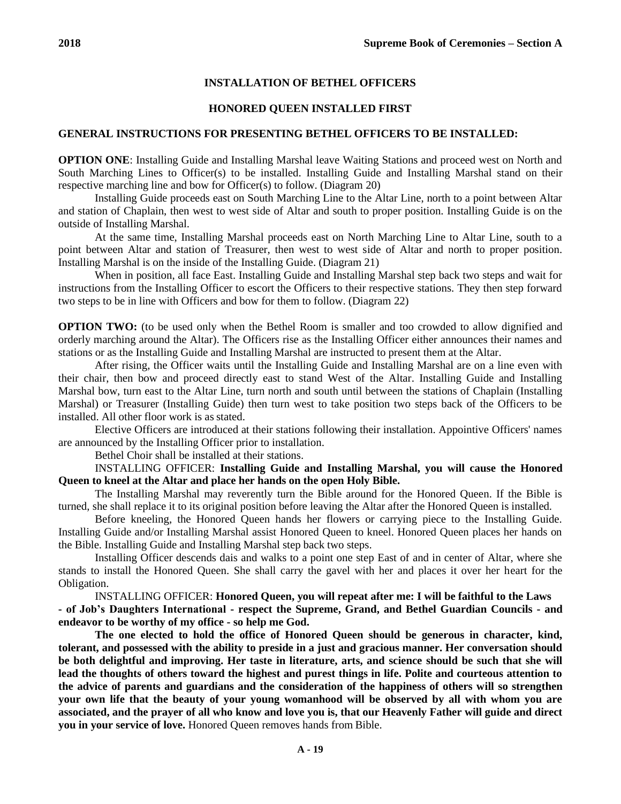# **INSTALLATION OF BETHEL OFFICERS**

# **HONORED QUEEN INSTALLED FIRST**

# **GENERAL INSTRUCTIONS FOR PRESENTING BETHEL OFFICERS TO BE INSTALLED:**

**OPTION ONE**: Installing Guide and Installing Marshal leave Waiting Stations and proceed west on North and South Marching Lines to Officer(s) to be installed. Installing Guide and Installing Marshal stand on their respective marching line and bow for Officer(s) to follow. (Diagram 20)

Installing Guide proceeds east on South Marching Line to the Altar Line, north to a point between Altar and station of Chaplain, then west to west side of Altar and south to proper position. Installing Guide is on the outside of Installing Marshal.

At the same time, Installing Marshal proceeds east on North Marching Line to Altar Line, south to a point between Altar and station of Treasurer, then west to west side of Altar and north to proper position. Installing Marshal is on the inside of the Installing Guide. (Diagram 21)

When in position, all face East. Installing Guide and Installing Marshal step back two steps and wait for instructions from the Installing Officer to escort the Officers to their respective stations. They then step forward two steps to be in line with Officers and bow for them to follow. (Diagram 22)

**OPTION TWO:** (to be used only when the Bethel Room is smaller and too crowded to allow dignified and orderly marching around the Altar). The Officers rise as the Installing Officer either announces their names and stations or as the Installing Guide and Installing Marshal are instructed to present them at the Altar.

After rising, the Officer waits until the Installing Guide and Installing Marshal are on a line even with their chair, then bow and proceed directly east to stand West of the Altar. Installing Guide and Installing Marshal bow, turn east to the Altar Line, turn north and south until between the stations of Chaplain (Installing Marshal) or Treasurer (Installing Guide) then turn west to take position two steps back of the Officers to be installed. All other floor work is as stated.

Elective Officers are introduced at their stations following their installation. Appointive Officers' names are announced by the Installing Officer prior to installation.

Bethel Choir shall be installed at their stations.

INSTALLING OFFICER: **Installing Guide and Installing Marshal, you will cause the Honored Queen to kneel at the Altar and place her hands on the open Holy Bible.**

The Installing Marshal may reverently turn the Bible around for the Honored Queen. If the Bible is turned, she shall replace it to its original position before leaving the Altar after the Honored Queen is installed.

Before kneeling, the Honored Queen hands her flowers or carrying piece to the Installing Guide. Installing Guide and/or Installing Marshal assist Honored Queen to kneel. Honored Queen places her hands on the Bible. Installing Guide and Installing Marshal step back two steps.

Installing Officer descends dais and walks to a point one step East of and in center of Altar, where she stands to install the Honored Queen. She shall carry the gavel with her and places it over her heart for the Obligation.

INSTALLING OFFICER: **Honored Queen, you will repeat after me: I will be faithful to the Laws - of Job's Daughters International - respect the Supreme, Grand, and Bethel Guardian Councils - and endeavor to be worthy of my office - so help me God.**

**The one elected to hold the office of Honored Queen should be generous in character, kind, tolerant, and possessed with the ability to preside in a just and gracious manner. Her conversation should be both delightful and improving. Her taste in literature, arts, and science should be such that she will lead the thoughts of others toward the highest and purest things in life. Polite and courteous attention to the advice of parents and guardians and the consideration of the happiness of others will so strengthen your own life that the beauty of your young womanhood will be observed by all with whom you are associated, and the prayer of all who know and love you is, that our Heavenly Father will guide and direct you in your service of love.** Honored Queen removes hands from Bible.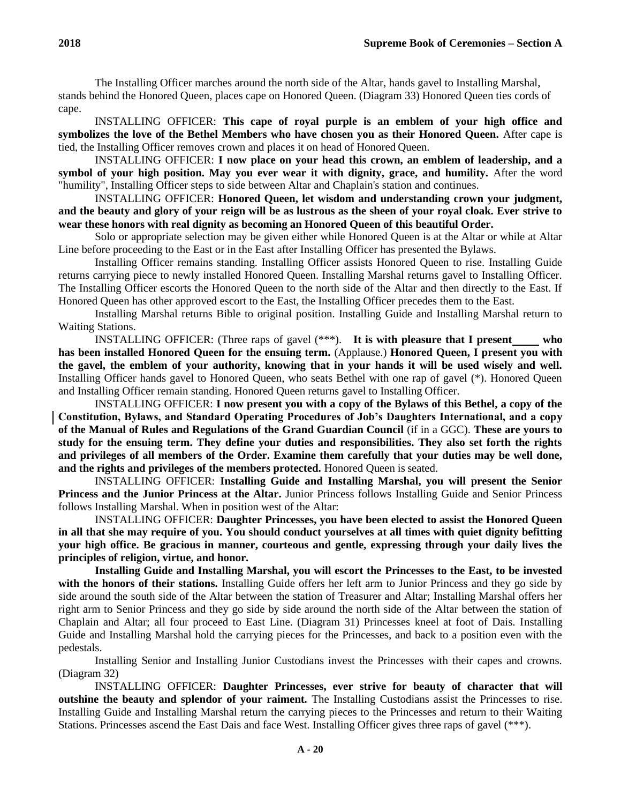The Installing Officer marches around the north side of the Altar, hands gavel to Installing Marshal, stands behind the Honored Queen, places cape on Honored Queen. (Diagram 33) Honored Queen ties cords of cape.

INSTALLING OFFICER: **This cape of royal purple is an emblem of your high office and symbolizes the love of the Bethel Members who have chosen you as their Honored Queen.** After cape is tied, the Installing Officer removes crown and places it on head of Honored Queen.

INSTALLING OFFICER: **I now place on your head this crown, an emblem of leadership, and a symbol of your high position. May you ever wear it with dignity, grace, and humility.** After the word "humility", Installing Officer steps to side between Altar and Chaplain's station and continues.

INSTALLING OFFICER: **Honored Queen, let wisdom and understanding crown your judgment, and the beauty and glory of your reign will be as lustrous as the sheen of your royal cloak. Ever strive to wear these honors with real dignity as becoming an Honored Queen of this beautiful Order.**

Solo or appropriate selection may be given either while Honored Queen is at the Altar or while at Altar Line before proceeding to the East or in the East after Installing Officer has presented the Bylaws.

Installing Officer remains standing. Installing Officer assists Honored Queen to rise. Installing Guide returns carrying piece to newly installed Honored Queen. Installing Marshal returns gavel to Installing Officer. The Installing Officer escorts the Honored Queen to the north side of the Altar and then directly to the East. If Honored Queen has other approved escort to the East, the Installing Officer precedes them to the East.

Installing Marshal returns Bible to original position. Installing Guide and Installing Marshal return to Waiting Stations.

INSTALLING OFFICER: (Three raps of gavel (\*\*\*). **It is with pleasure that I present who has been installed Honored Queen for the ensuing term.** (Applause.) **Honored Queen, I present you with the gavel, the emblem of your authority, knowing that in your hands it will be used wisely and well.**  Installing Officer hands gavel to Honored Queen, who seats Bethel with one rap of gavel (\*). Honored Queen and Installing Officer remain standing. Honored Queen returns gavel to Installing Officer.

INSTALLING OFFICER: **I now present you with a copy of the Bylaws of this Bethel, a copy of the Constitution, Bylaws, and Standard Operating Procedures of Job's Daughters International, and a copy of the Manual of Rules and Regulations of the Grand Guardian Council** (if in a GGC). **These are yours to study for the ensuing term. They define your duties and responsibilities. They also set forth the rights and privileges of all members of the Order. Examine them carefully that your duties may be well done, and the rights and privileges of the members protected.** Honored Queen is seated.

INSTALLING OFFICER: **Installing Guide and Installing Marshal, you will present the Senior Princess and the Junior Princess at the Altar.** Junior Princess follows Installing Guide and Senior Princess follows Installing Marshal. When in position west of the Altar:

INSTALLING OFFICER: **Daughter Princesses, you have been elected to assist the Honored Queen in all that she may require of you. You should conduct yourselves at all times with quiet dignity befitting your high office. Be gracious in manner, courteous and gentle, expressing through your daily lives the principles of religion, virtue, and honor.**

**Installing Guide and Installing Marshal, you will escort the Princesses to the East, to be invested with the honors of their stations.** Installing Guide offers her left arm to Junior Princess and they go side by side around the south side of the Altar between the station of Treasurer and Altar; Installing Marshal offers her right arm to Senior Princess and they go side by side around the north side of the Altar between the station of Chaplain and Altar; all four proceed to East Line. (Diagram 31) Princesses kneel at foot of Dais. Installing Guide and Installing Marshal hold the carrying pieces for the Princesses, and back to a position even with the pedestals.

Installing Senior and Installing Junior Custodians invest the Princesses with their capes and crowns. (Diagram 32)

INSTALLING OFFICER: **Daughter Princesses, ever strive for beauty of character that will outshine the beauty and splendor of your raiment.** The Installing Custodians assist the Princesses to rise. Installing Guide and Installing Marshal return the carrying pieces to the Princesses and return to their Waiting Stations. Princesses ascend the East Dais and face West. Installing Officer gives three raps of gavel (\*\*\*).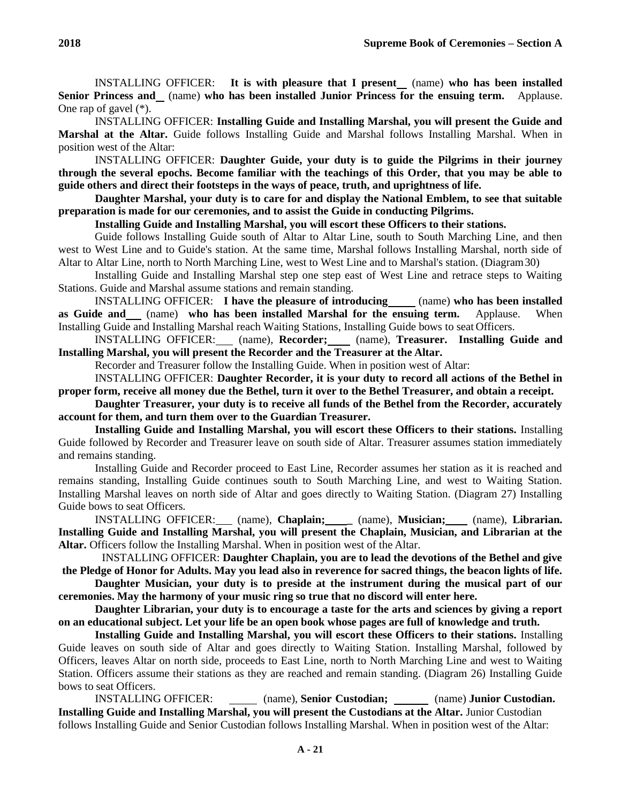INSTALLING OFFICER: **It is with pleasure that I present** (name) **who has been installed Senior Princess and** (name) **who has been installed Junior Princess for the ensuing term.** Applause. One rap of gavel (\*).

INSTALLING OFFICER: **Installing Guide and Installing Marshal, you will present the Guide and Marshal at the Altar.** Guide follows Installing Guide and Marshal follows Installing Marshal. When in position west of the Altar:

INSTALLING OFFICER: **Daughter Guide, your duty is to guide the Pilgrims in their journey through the several epochs. Become familiar with the teachings of this Order, that you may be able to guide others and direct their footsteps in the ways of peace, truth, and uprightness of life.**

**Daughter Marshal, your duty is to care for and display the National Emblem, to see that suitable preparation is made for our ceremonies, and to assist the Guide in conducting Pilgrims.**

**Installing Guide and Installing Marshal, you will escort these Officers to their stations.**

Guide follows Installing Guide south of Altar to Altar Line, south to South Marching Line, and then west to West Line and to Guide's station. At the same time, Marshal follows Installing Marshal, north side of Altar to Altar Line, north to North Marching Line, west to West Line and to Marshal's station. (Diagram30)

Installing Guide and Installing Marshal step one step east of West Line and retrace steps to Waiting Stations. Guide and Marshal assume stations and remain standing.

INSTALLING OFFICER: **I have the pleasure of introducing** (name) **who has been installed as Guide and** (name) **who has been installed Marshal for the ensuing term.** Applause. When Installing Guide and Installing Marshal reach Waiting Stations, Installing Guide bows to seat Officers.

INSTALLING OFFICER: (name), **Recorder;** (name), **Treasurer. Installing Guide and Installing Marshal, you will present the Recorder and the Treasurer at the Altar.**

Recorder and Treasurer follow the Installing Guide. When in position west of Altar:

INSTALLING OFFICER: **Daughter Recorder, it is your duty to record all actions of the Bethel in proper form, receive all money due the Bethel, turn it over to the Bethel Treasurer, and obtain a receipt.**

**Daughter Treasurer, your duty is to receive all funds of the Bethel from the Recorder, accurately account for them, and turn them over to the Guardian Treasurer.**

**Installing Guide and Installing Marshal, you will escort these Officers to their stations.** Installing Guide followed by Recorder and Treasurer leave on south side of Altar. Treasurer assumes station immediately and remains standing.

Installing Guide and Recorder proceed to East Line, Recorder assumes her station as it is reached and remains standing, Installing Guide continues south to South Marching Line, and west to Waiting Station. Installing Marshal leaves on north side of Altar and goes directly to Waiting Station. (Diagram 27) Installing Guide bows to seat Officers.

INSTALLING OFFICER: (name), **Chaplain; \_** (name), **Musician;** (name), **Librarian. Installing Guide and Installing Marshal, you will present the Chaplain, Musician, and Librarian at the Altar.** Officers follow the Installing Marshal. When in position west of the Altar.

INSTALLING OFFICER: **Daughter Chaplain, you are to lead the devotions of the Bethel and give the Pledge of Honor for Adults. May you lead also in reverence for sacred things, the beacon lights of life.**

**Daughter Musician, your duty is to preside at the instrument during the musical part of our ceremonies. May the harmony of your music ring so true that no discord will enter here.**

**Daughter Librarian, your duty is to encourage a taste for the arts and sciences by giving a report on an educational subject. Let your life be an open book whose pages are full of knowledge and truth.**

**Installing Guide and Installing Marshal, you will escort these Officers to their stations.** Installing Guide leaves on south side of Altar and goes directly to Waiting Station. Installing Marshal, followed by Officers, leaves Altar on north side, proceeds to East Line, north to North Marching Line and west to Waiting Station. Officers assume their stations as they are reached and remain standing. (Diagram 26) Installing Guide bows to seat Officers.

INSTALLING OFFICER: (name), **Senior Custodian;** (name) **Junior Custodian. Installing Guide and Installing Marshal, you will present the Custodians at the Altar.** Junior Custodian follows Installing Guide and Senior Custodian follows Installing Marshal. When in position west of the Altar: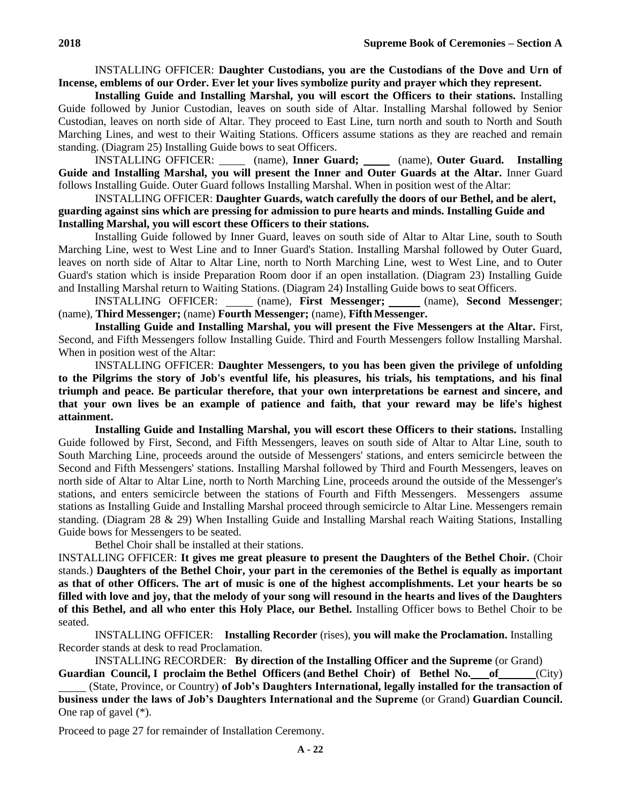INSTALLING OFFICER: **Daughter Custodians, you are the Custodians of the Dove and Urn of Incense, emblems of our Order. Ever let your lives symbolize purity and prayer which they represent.**

**Installing Guide and Installing Marshal, you will escort the Officers to their stations.** Installing Guide followed by Junior Custodian, leaves on south side of Altar. Installing Marshal followed by Senior Custodian, leaves on north side of Altar. They proceed to East Line, turn north and south to North and South Marching Lines, and west to their Waiting Stations. Officers assume stations as they are reached and remain standing. (Diagram 25) Installing Guide bows to seat Officers.

INSTALLING OFFICER: (name), **Inner Guard;** (name), **Outer Guard. Installing Guide and Installing Marshal, you will present the Inner and Outer Guards at the Altar.** Inner Guard follows Installing Guide. Outer Guard follows Installing Marshal. When in position west of the Altar:

INSTALLING OFFICER: **Daughter Guards, watch carefully the doors of our Bethel, and be alert, guarding against sins which are pressing for admission to pure hearts and minds. Installing Guide and Installing Marshal, you will escort these Officers to their stations.**

Installing Guide followed by Inner Guard, leaves on south side of Altar to Altar Line, south to South Marching Line, west to West Line and to Inner Guard's Station. Installing Marshal followed by Outer Guard, leaves on north side of Altar to Altar Line, north to North Marching Line, west to West Line, and to Outer Guard's station which is inside Preparation Room door if an open installation. (Diagram 23) Installing Guide and Installing Marshal return to Waiting Stations. (Diagram 24) Installing Guide bows to seat Officers.

INSTALLING OFFICER: (name), **First Messenger;** (name), **Second Messenger**; (name), Third Messenger; (name) Fourth Messenger; (name), Fifth Messenger.

**Installing Guide and Installing Marshal, you will present the Five Messengers at the Altar.** First, Second, and Fifth Messengers follow Installing Guide. Third and Fourth Messengers follow Installing Marshal. When in position west of the Altar:

INSTALLING OFFICER: **Daughter Messengers, to you has been given the privilege of unfolding to the Pilgrims the story of Job's eventful life, his pleasures, his trials, his temptations, and his final triumph and peace. Be particular therefore, that your own interpretations be earnest and sincere, and that your own lives be an example of patience and faith, that your reward may be life's highest attainment.**

**Installing Guide and Installing Marshal, you will escort these Officers to their stations.** Installing Guide followed by First, Second, and Fifth Messengers, leaves on south side of Altar to Altar Line, south to South Marching Line, proceeds around the outside of Messengers' stations, and enters semicircle between the Second and Fifth Messengers' stations. Installing Marshal followed by Third and Fourth Messengers, leaves on north side of Altar to Altar Line, north to North Marching Line, proceeds around the outside of the Messenger's stations, and enters semicircle between the stations of Fourth and Fifth Messengers. Messengers assume stations as Installing Guide and Installing Marshal proceed through semicircle to Altar Line. Messengers remain standing. (Diagram 28 & 29) When Installing Guide and Installing Marshal reach Waiting Stations, Installing Guide bows for Messengers to be seated.

Bethel Choir shall be installed at their stations.

INSTALLING OFFICER: **It gives me great pleasure to present the Daughters of the Bethel Choir.** (Choir stands.) **Daughters of the Bethel Choir, your part in the ceremonies of the Bethel is equally as important as that of other Officers. The art of music is one of the highest accomplishments. Let your hearts be so filled with love and joy, that the melody of your song will resound in the hearts and lives of the Daughters of this Bethel, and all who enter this Holy Place, our Bethel.** Installing Officer bows to Bethel Choir to be seated.

INSTALLING OFFICER: **Installing Recorder** (rises), **you will make the Proclamation.** Installing Recorder stands at desk to read Proclamation.

INSTALLING RECORDER: **By direction of the Installing Officer and the Supreme** (or Grand) **Guardian Council, I proclaim the Bethel Officers (and Bethel Choir) of Bethel No. of** (City)

 (State, Province, or Country) **of Job's Daughters International, legally installed for the transaction of business under the laws of Job's Daughters International and the Supreme** (or Grand) **Guardian Council.**  One rap of gavel (\*).

Proceed to page 27 for remainder of Installation Ceremony.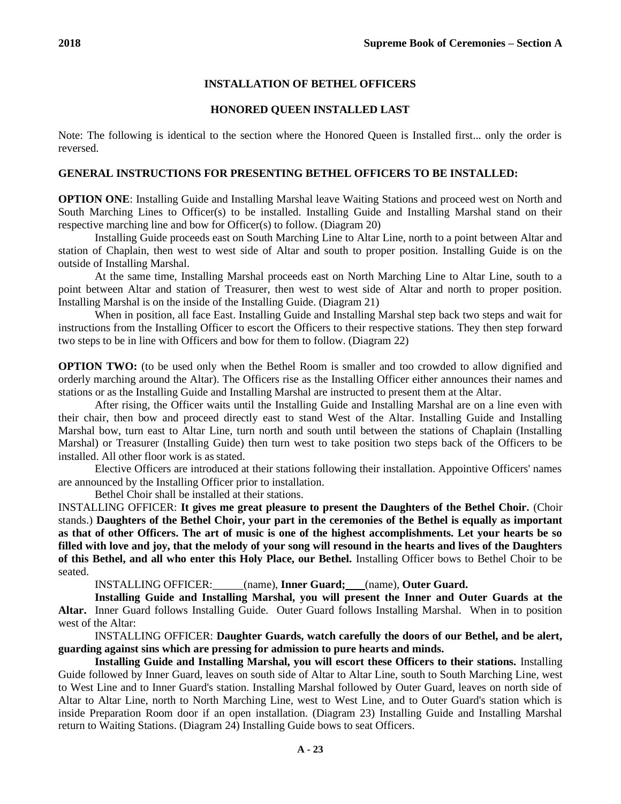# **INSTALLATION OF BETHEL OFFICERS**

# **HONORED QUEEN INSTALLED LAST**

Note: The following is identical to the section where the Honored Queen is Installed first... only the order is reversed.

# **GENERAL INSTRUCTIONS FOR PRESENTING BETHEL OFFICERS TO BE INSTALLED:**

**OPTION ONE**: Installing Guide and Installing Marshal leave Waiting Stations and proceed west on North and South Marching Lines to Officer(s) to be installed. Installing Guide and Installing Marshal stand on their respective marching line and bow for Officer(s) to follow. (Diagram 20)

Installing Guide proceeds east on South Marching Line to Altar Line, north to a point between Altar and station of Chaplain, then west to west side of Altar and south to proper position. Installing Guide is on the outside of Installing Marshal.

At the same time, Installing Marshal proceeds east on North Marching Line to Altar Line, south to a point between Altar and station of Treasurer, then west to west side of Altar and north to proper position. Installing Marshal is on the inside of the Installing Guide. (Diagram 21)

When in position, all face East. Installing Guide and Installing Marshal step back two steps and wait for instructions from the Installing Officer to escort the Officers to their respective stations. They then step forward two steps to be in line with Officers and bow for them to follow. (Diagram 22)

**OPTION TWO:** (to be used only when the Bethel Room is smaller and too crowded to allow dignified and orderly marching around the Altar). The Officers rise as the Installing Officer either announces their names and stations or as the Installing Guide and Installing Marshal are instructed to present them at the Altar.

After rising, the Officer waits until the Installing Guide and Installing Marshal are on a line even with their chair, then bow and proceed directly east to stand West of the Altar. Installing Guide and Installing Marshal bow, turn east to Altar Line, turn north and south until between the stations of Chaplain (Installing Marshal) or Treasurer (Installing Guide) then turn west to take position two steps back of the Officers to be installed. All other floor work is as stated.

Elective Officers are introduced at their stations following their installation. Appointive Officers' names are announced by the Installing Officer prior to installation.

Bethel Choir shall be installed at their stations.

INSTALLING OFFICER: **It gives me great pleasure to present the Daughters of the Bethel Choir.** (Choir stands.) **Daughters of the Bethel Choir, your part in the ceremonies of the Bethel is equally as important as that of other Officers. The art of music is one of the highest accomplishments. Let your hearts be so filled with love and joy, that the melody of your song will resound in the hearts and lives of the Daughters of this Bethel, and all who enter this Holy Place, our Bethel.** Installing Officer bows to Bethel Choir to be seated.

INSTALLING OFFICER: (name), **Inner Guard;** (name), **Outer Guard.**

**Installing Guide and Installing Marshal, you will present the Inner and Outer Guards at the Altar.** Inner Guard follows Installing Guide. Outer Guard follows Installing Marshal. When in to position west of the Altar:

INSTALLING OFFICER: **Daughter Guards, watch carefully the doors of our Bethel, and be alert, guarding against sins which are pressing for admission to pure hearts and minds.**

**Installing Guide and Installing Marshal, you will escort these Officers to their stations.** Installing Guide followed by Inner Guard, leaves on south side of Altar to Altar Line, south to South Marching Line, west to West Line and to Inner Guard's station. Installing Marshal followed by Outer Guard, leaves on north side of Altar to Altar Line, north to North Marching Line, west to West Line, and to Outer Guard's station which is inside Preparation Room door if an open installation. (Diagram 23) Installing Guide and Installing Marshal return to Waiting Stations. (Diagram 24) Installing Guide bows to seat Officers.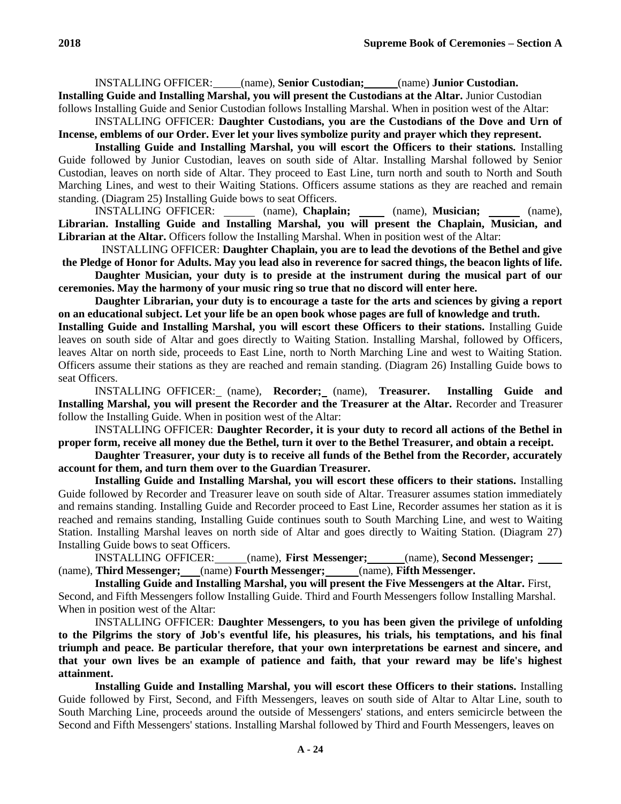INSTALLING OFFICER: (name), **Senior Custodian;** (name) **Junior Custodian. Installing Guide and Installing Marshal, you will present the Custodians at the Altar.** Junior Custodian

follows Installing Guide and Senior Custodian follows Installing Marshal. When in position west of the Altar: INSTALLING OFFICER: **Daughter Custodians, you are the Custodians of the Dove and Urn of** 

**Incense, emblems of our Order. Ever let your lives symbolize purity and prayer which they represent.**

**Installing Guide and Installing Marshal, you will escort the Officers to their stations.** Installing Guide followed by Junior Custodian, leaves on south side of Altar. Installing Marshal followed by Senior Custodian, leaves on north side of Altar. They proceed to East Line, turn north and south to North and South Marching Lines, and west to their Waiting Stations. Officers assume stations as they are reached and remain standing. (Diagram 25) Installing Guide bows to seat Officers.

INSTALLING OFFICER: (name), **Chaplain;** (name), **Musician;** (name), **Librarian. Installing Guide and Installing Marshal, you will present the Chaplain, Musician, and Librarian at the Altar.** Officers follow the Installing Marshal. When in position west of the Altar:

INSTALLING OFFICER: **Daughter Chaplain, you are to lead the devotions of the Bethel and give the Pledge of Honor for Adults. May you lead also in reverence for sacred things, the beacon lights of life.**

**Daughter Musician, your duty is to preside at the instrument during the musical part of our ceremonies. May the harmony of your music ring so true that no discord will enter here.**

**Daughter Librarian, your duty is to encourage a taste for the arts and sciences by giving a report on an educational subject. Let your life be an open book whose pages are full of knowledge and truth.**

**Installing Guide and Installing Marshal, you will escort these Officers to their stations.** Installing Guide leaves on south side of Altar and goes directly to Waiting Station. Installing Marshal, followed by Officers, leaves Altar on north side, proceeds to East Line, north to North Marching Line and west to Waiting Station. Officers assume their stations as they are reached and remain standing. (Diagram 26) Installing Guide bows to seat Officers.

INSTALLING OFFICER: (name), **Recorder;** (name), **Treasurer. Installing Guide and Installing Marshal, you will present the Recorder and the Treasurer at the Altar.** Recorder and Treasurer follow the Installing Guide. When in position west of the Altar:

INSTALLING OFFICER: **Daughter Recorder, it is your duty to record all actions of the Bethel in proper form, receive all money due the Bethel, turn it over to the Bethel Treasurer, and obtain a receipt.**

**Daughter Treasurer, your duty is to receive all funds of the Bethel from the Recorder, accurately account for them, and turn them over to the Guardian Treasurer.**

**Installing Guide and Installing Marshal, you will escort these officers to their stations.** Installing Guide followed by Recorder and Treasurer leave on south side of Altar. Treasurer assumes station immediately and remains standing. Installing Guide and Recorder proceed to East Line, Recorder assumes her station as it is reached and remains standing, Installing Guide continues south to South Marching Line, and west to Waiting Station. Installing Marshal leaves on north side of Altar and goes directly to Waiting Station. (Diagram 27) Installing Guide bows to seat Officers.

INSTALLING OFFICER: (name), **First Messenger;** (name), **Second Messenger;**  (name), **Third Messenger;** (name) **Fourth Messenger;** (name), **Fifth Messenger.**

**Installing Guide and Installing Marshal, you will present the Five Messengers at the Altar.** First, Second, and Fifth Messengers follow Installing Guide. Third and Fourth Messengers follow Installing Marshal. When in position west of the Altar:

INSTALLING OFFICER: **Daughter Messengers, to you has been given the privilege of unfolding to the Pilgrims the story of Job's eventful life, his pleasures, his trials, his temptations, and his final triumph and peace. Be particular therefore, that your own interpretations be earnest and sincere, and that your own lives be an example of patience and faith, that your reward may be life's highest attainment.**

**Installing Guide and Installing Marshal, you will escort these Officers to their stations.** Installing Guide followed by First, Second, and Fifth Messengers, leaves on south side of Altar to Altar Line, south to South Marching Line, proceeds around the outside of Messengers' stations, and enters semicircle between the Second and Fifth Messengers' stations. Installing Marshal followed by Third and Fourth Messengers, leaves on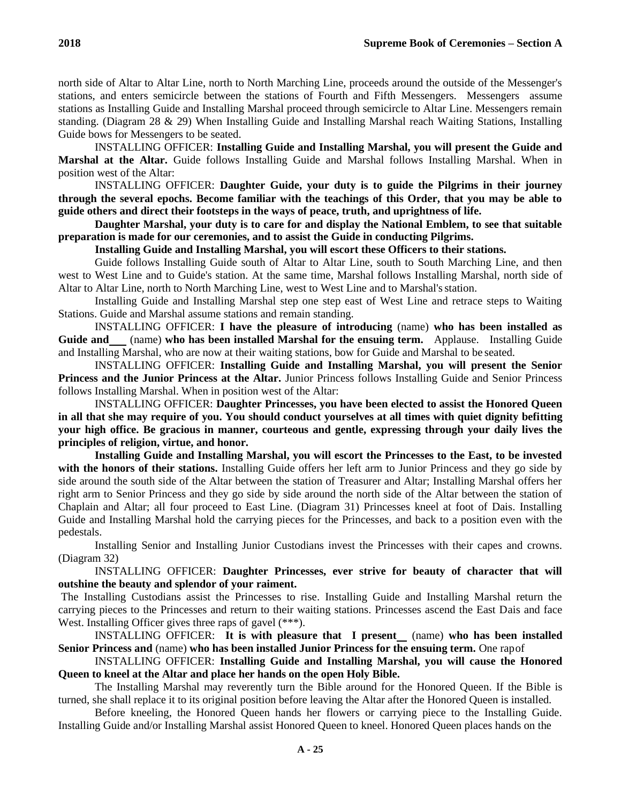north side of Altar to Altar Line, north to North Marching Line, proceeds around the outside of the Messenger's stations, and enters semicircle between the stations of Fourth and Fifth Messengers. Messengers assume stations as Installing Guide and Installing Marshal proceed through semicircle to Altar Line. Messengers remain standing. (Diagram 28 & 29) When Installing Guide and Installing Marshal reach Waiting Stations, Installing Guide bows for Messengers to be seated.

INSTALLING OFFICER: **Installing Guide and Installing Marshal, you will present the Guide and Marshal at the Altar.** Guide follows Installing Guide and Marshal follows Installing Marshal. When in position west of the Altar:

INSTALLING OFFICER: **Daughter Guide, your duty is to guide the Pilgrims in their journey through the several epochs. Become familiar with the teachings of this Order, that you may be able to guide others and direct their footsteps in the ways of peace, truth, and uprightness of life.**

**Daughter Marshal, your duty is to care for and display the National Emblem, to see that suitable preparation is made for our ceremonies, and to assist the Guide in conducting Pilgrims.**

**Installing Guide and Installing Marshal, you will escort these Officers to their stations.**

Guide follows Installing Guide south of Altar to Altar Line, south to South Marching Line, and then west to West Line and to Guide's station. At the same time, Marshal follows Installing Marshal, north side of Altar to Altar Line, north to North Marching Line, west to West Line and to Marshal'sstation.

Installing Guide and Installing Marshal step one step east of West Line and retrace steps to Waiting Stations. Guide and Marshal assume stations and remain standing.

INSTALLING OFFICER: **I have the pleasure of introducing** (name) **who has been installed as Guide and** (name) **who has been installed Marshal for the ensuing term.** Applause. Installing Guide and Installing Marshal, who are now at their waiting stations, bow for Guide and Marshal to be seated.

INSTALLING OFFICER: **Installing Guide and Installing Marshal, you will present the Senior Princess and the Junior Princess at the Altar.** Junior Princess follows Installing Guide and Senior Princess follows Installing Marshal. When in position west of the Altar:

INSTALLING OFFICER: **Daughter Princesses, you have been elected to assist the Honored Queen in all that she may require of you. You should conduct yourselves at all times with quiet dignity befitting your high office. Be gracious in manner, courteous and gentle, expressing through your daily lives the principles of religion, virtue, and honor.**

**Installing Guide and Installing Marshal, you will escort the Princesses to the East, to be invested with the honors of their stations.** Installing Guide offers her left arm to Junior Princess and they go side by side around the south side of the Altar between the station of Treasurer and Altar; Installing Marshal offers her right arm to Senior Princess and they go side by side around the north side of the Altar between the station of Chaplain and Altar; all four proceed to East Line. (Diagram 31) Princesses kneel at foot of Dais. Installing Guide and Installing Marshal hold the carrying pieces for the Princesses, and back to a position even with the pedestals.

Installing Senior and Installing Junior Custodians invest the Princesses with their capes and crowns. (Diagram 32)

INSTALLING OFFICER: **Daughter Princesses, ever strive for beauty of character that will outshine the beauty and splendor of your raiment.**

The Installing Custodians assist the Princesses to rise. Installing Guide and Installing Marshal return the carrying pieces to the Princesses and return to their waiting stations. Princesses ascend the East Dais and face West. Installing Officer gives three raps of gavel (\*\*\*).

INSTALLING OFFICER: **It is with pleasure that I present** (name) **who has been installed Senior Princess and** (name) **who has been installed Junior Princess for the ensuing term.** One rapof

INSTALLING OFFICER: **Installing Guide and Installing Marshal, you will cause the Honored Queen to kneel at the Altar and place her hands on the open Holy Bible.**

The Installing Marshal may reverently turn the Bible around for the Honored Queen. If the Bible is turned, she shall replace it to its original position before leaving the Altar after the Honored Queen is installed.

Before kneeling, the Honored Queen hands her flowers or carrying piece to the Installing Guide. Installing Guide and/or Installing Marshal assist Honored Queen to kneel. Honored Queen places hands on the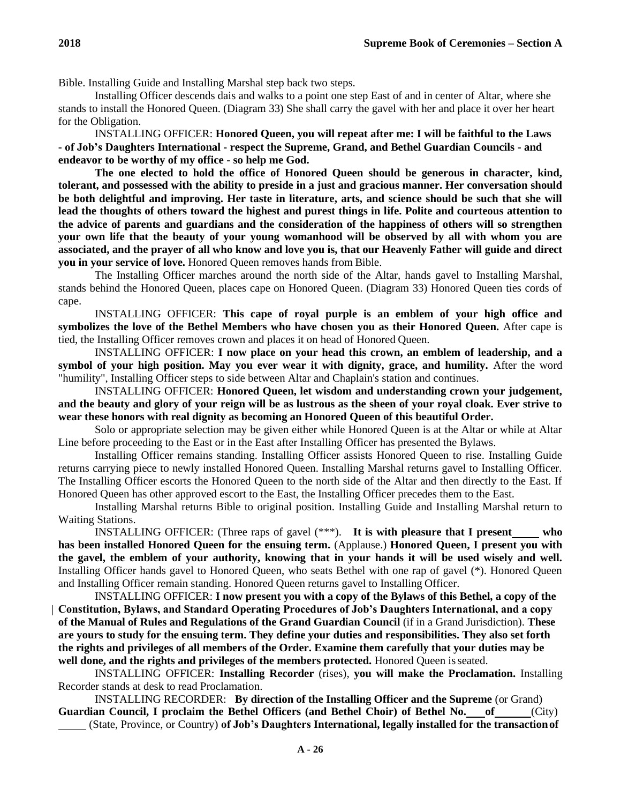Bible. Installing Guide and Installing Marshal step back two steps.

Installing Officer descends dais and walks to a point one step East of and in center of Altar, where she stands to install the Honored Queen. (Diagram 33) She shall carry the gavel with her and place it over her heart for the Obligation.

INSTALLING OFFICER: **Honored Queen, you will repeat after me: I will be faithful to the Laws - of Job's Daughters International - respect the Supreme, Grand, and Bethel Guardian Councils - and endeavor to be worthy of my office - so help me God.**

**The one elected to hold the office of Honored Queen should be generous in character, kind, tolerant, and possessed with the ability to preside in a just and gracious manner. Her conversation should be both delightful and improving. Her taste in literature, arts, and science should be such that she will lead the thoughts of others toward the highest and purest things in life. Polite and courteous attention to the advice of parents and guardians and the consideration of the happiness of others will so strengthen your own life that the beauty of your young womanhood will be observed by all with whom you are associated, and the prayer of all who know and love you is, that our Heavenly Father will guide and direct you in your service of love.** Honored Queen removes hands from Bible.

The Installing Officer marches around the north side of the Altar, hands gavel to Installing Marshal, stands behind the Honored Queen, places cape on Honored Queen. (Diagram 33) Honored Queen ties cords of cape.

INSTALLING OFFICER: **This cape of royal purple is an emblem of your high office and symbolizes the love of the Bethel Members who have chosen you as their Honored Queen.** After cape is tied, the Installing Officer removes crown and places it on head of Honored Queen.

INSTALLING OFFICER: **I now place on your head this crown, an emblem of leadership, and a symbol of your high position. May you ever wear it with dignity, grace, and humility.** After the word "humility", Installing Officer steps to side between Altar and Chaplain's station and continues.

INSTALLING OFFICER: **Honored Queen, let wisdom and understanding crown your judgement, and the beauty and glory of your reign will be as lustrous as the sheen of your royal cloak. Ever strive to wear these honors with real dignity as becoming an Honored Queen of this beautiful Order.**

Solo or appropriate selection may be given either while Honored Queen is at the Altar or while at Altar Line before proceeding to the East or in the East after Installing Officer has presented the Bylaws.

Installing Officer remains standing. Installing Officer assists Honored Queen to rise. Installing Guide returns carrying piece to newly installed Honored Queen. Installing Marshal returns gavel to Installing Officer. The Installing Officer escorts the Honored Queen to the north side of the Altar and then directly to the East. If Honored Queen has other approved escort to the East, the Installing Officer precedes them to the East.

Installing Marshal returns Bible to original position. Installing Guide and Installing Marshal return to Waiting Stations.

INSTALLING OFFICER: (Three raps of gavel (\*\*\*). **It is with pleasure that I present who has been installed Honored Queen for the ensuing term.** (Applause.) **Honored Queen, I present you with the gavel, the emblem of your authority, knowing that in your hands it will be used wisely and well.**  Installing Officer hands gavel to Honored Queen, who seats Bethel with one rap of gavel (\*). Honored Queen and Installing Officer remain standing. Honored Queen returns gavel to Installing Officer.

INSTALLING OFFICER: **I now present you with a copy of the Bylaws of this Bethel, a copy of the Constitution, Bylaws, and Standard Operating Procedures of Job's Daughters International, and a copy of the Manual of Rules and Regulations of the Grand Guardian Council** (if in a Grand Jurisdiction). **These are yours to study for the ensuing term. They define your duties and responsibilities. They also set forth the rights and privileges of all members of the Order. Examine them carefully that your duties may be well done, and the rights and privileges of the members protected.** Honored Queen isseated.

INSTALLING OFFICER: **Installing Recorder** (rises), **you will make the Proclamation.** Installing Recorder stands at desk to read Proclamation.

INSTALLING RECORDER: **By direction of the Installing Officer and the Supreme** (or Grand) **Guardian Council, I proclaim the Bethel Officers (and Bethel Choir) of Bethel No. of** (City)

(State, Province, or Country) **of Job's Daughters International, legally installed for the transactionof**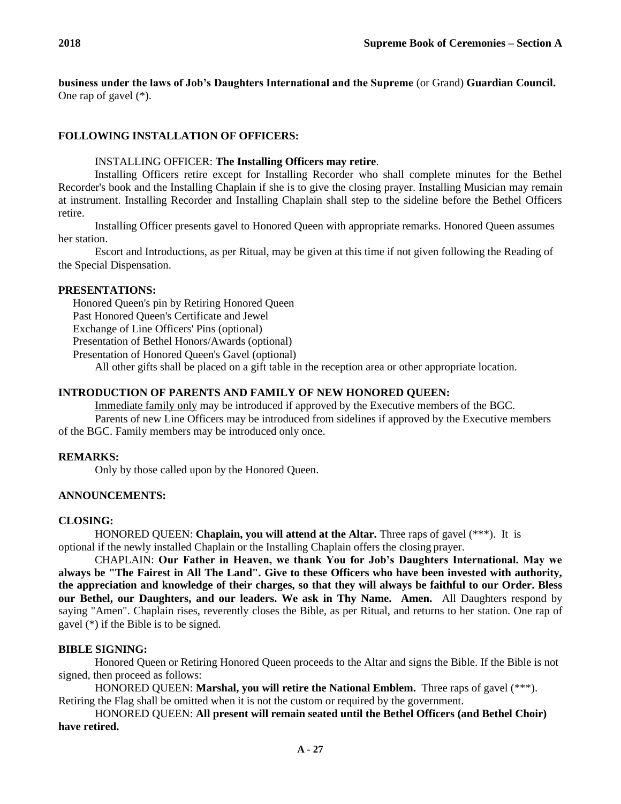**business under the laws of Job's Daughters International and the Supreme** (or Grand) **Guardian Council.** One rap of gavel (\*).

# **FOLLOWING INSTALLATION OF OFFICERS:**

## INSTALLING OFFICER: **The Installing Officers may retire**.

Installing Officers retire except for Installing Recorder who shall complete minutes for the Bethel Recorder's book and the Installing Chaplain if she is to give the closing prayer. Installing Musician may remain at instrument. Installing Recorder and Installing Chaplain shall step to the sideline before the Bethel Officers retire.

Installing Officer presents gavel to Honored Queen with appropriate remarks. Honored Queen assumes her station.

Escort and Introductions, as per Ritual, may be given at this time if not given following the Reading of the Special Dispensation.

## **PRESENTATIONS:**

Honored Queen's pin by Retiring Honored Queen

Past Honored Queen's Certificate and Jewel

Exchange of Line Officers' Pins (optional)

Presentation of Bethel Honors/Awards (optional)

Presentation of Honored Queen's Gavel (optional)

All other gifts shall be placed on a gift table in the reception area or other appropriate location.

# **INTRODUCTION OF PARENTS AND FAMILY OF NEW HONORED QUEEN:**

Immediate family only may be introduced if approved by the Executive members of the BGC.

Parents of new Line Officers may be introduced from sidelines if approved by the Executive members of the BGC. Family members may be introduced only once.

## **REMARKS:**

Only by those called upon by the Honored Queen.

## **ANNOUNCEMENTS:**

## **CLOSING:**

HONORED QUEEN: **Chaplain, you will attend at the Altar.** Three raps of gavel (\*\*\*). It is optional if the newly installed Chaplain or the Installing Chaplain offers the closing prayer.

CHAPLAIN: **Our Father in Heaven, we thank You for Job's Daughters International. May we always be "The Fairest in All The Land". Give to these Officers who have been invested with authority, the appreciation and knowledge of their charges, so that they will always be faithful to our Order. Bless our Bethel, our Daughters, and our leaders. We ask in Thy Name. Amen.** All Daughters respond by saying "Amen". Chaplain rises, reverently closes the Bible, as per Ritual, and returns to her station. One rap of gavel (\*) if the Bible is to be signed.

# **BIBLE SIGNING:**

Honored Queen or Retiring Honored Queen proceeds to the Altar and signs the Bible. If the Bible is not signed, then proceed as follows:

HONORED QUEEN: **Marshal, you will retire the National Emblem.** Three raps of gavel (\*\*\*). Retiring the Flag shall be omitted when it is not the custom or required by the government.

HONORED QUEEN: **All present will remain seated until the Bethel Officers (and Bethel Choir) have retired.**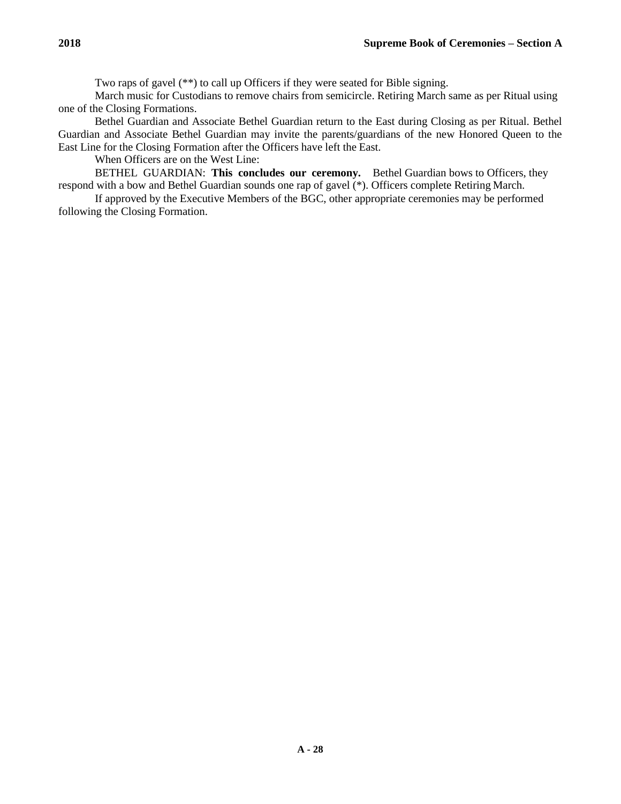Two raps of gavel (\*\*) to call up Officers if they were seated for Bible signing.

March music for Custodians to remove chairs from semicircle. Retiring March same as per Ritual using one of the Closing Formations.

Bethel Guardian and Associate Bethel Guardian return to the East during Closing as per Ritual. Bethel Guardian and Associate Bethel Guardian may invite the parents/guardians of the new Honored Queen to the East Line for the Closing Formation after the Officers have left the East.

When Officers are on the West Line:

BETHEL GUARDIAN: **This concludes our ceremony.** Bethel Guardian bows to Officers, they respond with a bow and Bethel Guardian sounds one rap of gavel (\*). Officers complete Retiring March.

If approved by the Executive Members of the BGC, other appropriate ceremonies may be performed following the Closing Formation.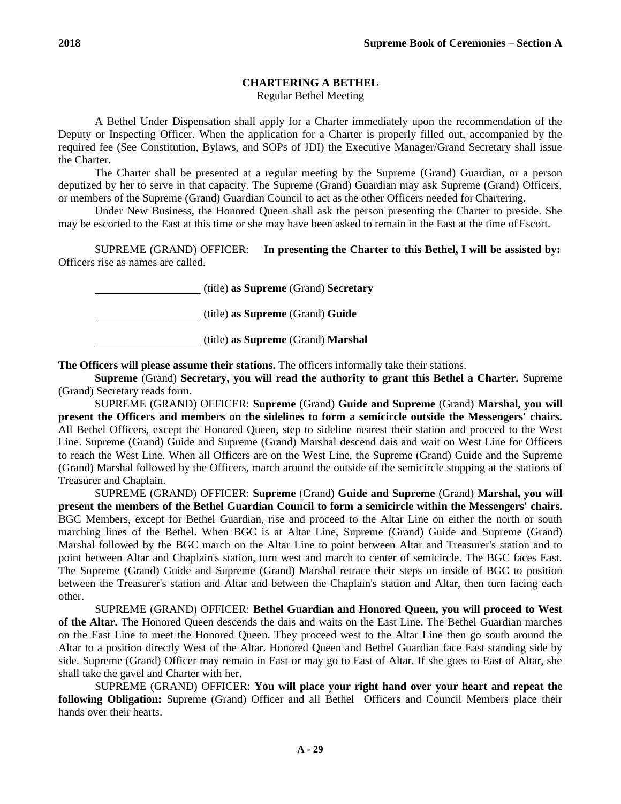# **CHARTERING A BETHEL**

Regular Bethel Meeting

A Bethel Under Dispensation shall apply for a Charter immediately upon the recommendation of the Deputy or Inspecting Officer. When the application for a Charter is properly filled out, accompanied by the required fee (See Constitution, Bylaws, and SOPs of JDI) the Executive Manager/Grand Secretary shall issue the Charter.

The Charter shall be presented at a regular meeting by the Supreme (Grand) Guardian, or a person deputized by her to serve in that capacity. The Supreme (Grand) Guardian may ask Supreme (Grand) Officers, or members of the Supreme (Grand) Guardian Council to act as the other Officers needed for Chartering.

Under New Business, the Honored Queen shall ask the person presenting the Charter to preside. She may be escorted to the East at this time or she may have been asked to remain in the East at the time ofEscort.

SUPREME (GRAND) OFFICER: **In presenting the Charter to this Bethel, I will be assisted by:** Officers rise as names are called.

(title) **as Supreme** (Grand) **Secretary**

(title) **as Supreme** (Grand) **Guide**

(title) **as Supreme** (Grand) **Marshal**

**The Officers will please assume their stations.** The officers informally take their stations.

**Supreme** (Grand) **Secretary, you will read the authority to grant this Bethel a Charter.** Supreme (Grand) Secretary reads form.

SUPREME (GRAND) OFFICER: **Supreme** (Grand) **Guide and Supreme** (Grand) **Marshal, you will present the Officers and members on the sidelines to form a semicircle outside the Messengers' chairs.**  All Bethel Officers, except the Honored Queen, step to sideline nearest their station and proceed to the West Line. Supreme (Grand) Guide and Supreme (Grand) Marshal descend dais and wait on West Line for Officers to reach the West Line. When all Officers are on the West Line, the Supreme (Grand) Guide and the Supreme (Grand) Marshal followed by the Officers, march around the outside of the semicircle stopping at the stations of Treasurer and Chaplain.

SUPREME (GRAND) OFFICER: **Supreme** (Grand) **Guide and Supreme** (Grand) **Marshal, you will present the members of the Bethel Guardian Council to form a semicircle within the Messengers' chairs.**  BGC Members, except for Bethel Guardian, rise and proceed to the Altar Line on either the north or south marching lines of the Bethel. When BGC is at Altar Line, Supreme (Grand) Guide and Supreme (Grand) Marshal followed by the BGC march on the Altar Line to point between Altar and Treasurer's station and to point between Altar and Chaplain's station, turn west and march to center of semicircle. The BGC faces East. The Supreme (Grand) Guide and Supreme (Grand) Marshal retrace their steps on inside of BGC to position between the Treasurer's station and Altar and between the Chaplain's station and Altar, then turn facing each other.

SUPREME (GRAND) OFFICER: **Bethel Guardian and Honored Queen, you will proceed to West of the Altar.** The Honored Queen descends the dais and waits on the East Line. The Bethel Guardian marches on the East Line to meet the Honored Queen. They proceed west to the Altar Line then go south around the Altar to a position directly West of the Altar. Honored Queen and Bethel Guardian face East standing side by side. Supreme (Grand) Officer may remain in East or may go to East of Altar. If she goes to East of Altar, she shall take the gavel and Charter with her.

SUPREME (GRAND) OFFICER: **You will place your right hand over your heart and repeat the following Obligation:** Supreme (Grand) Officer and all Bethel Officers and Council Members place their hands over their hearts.